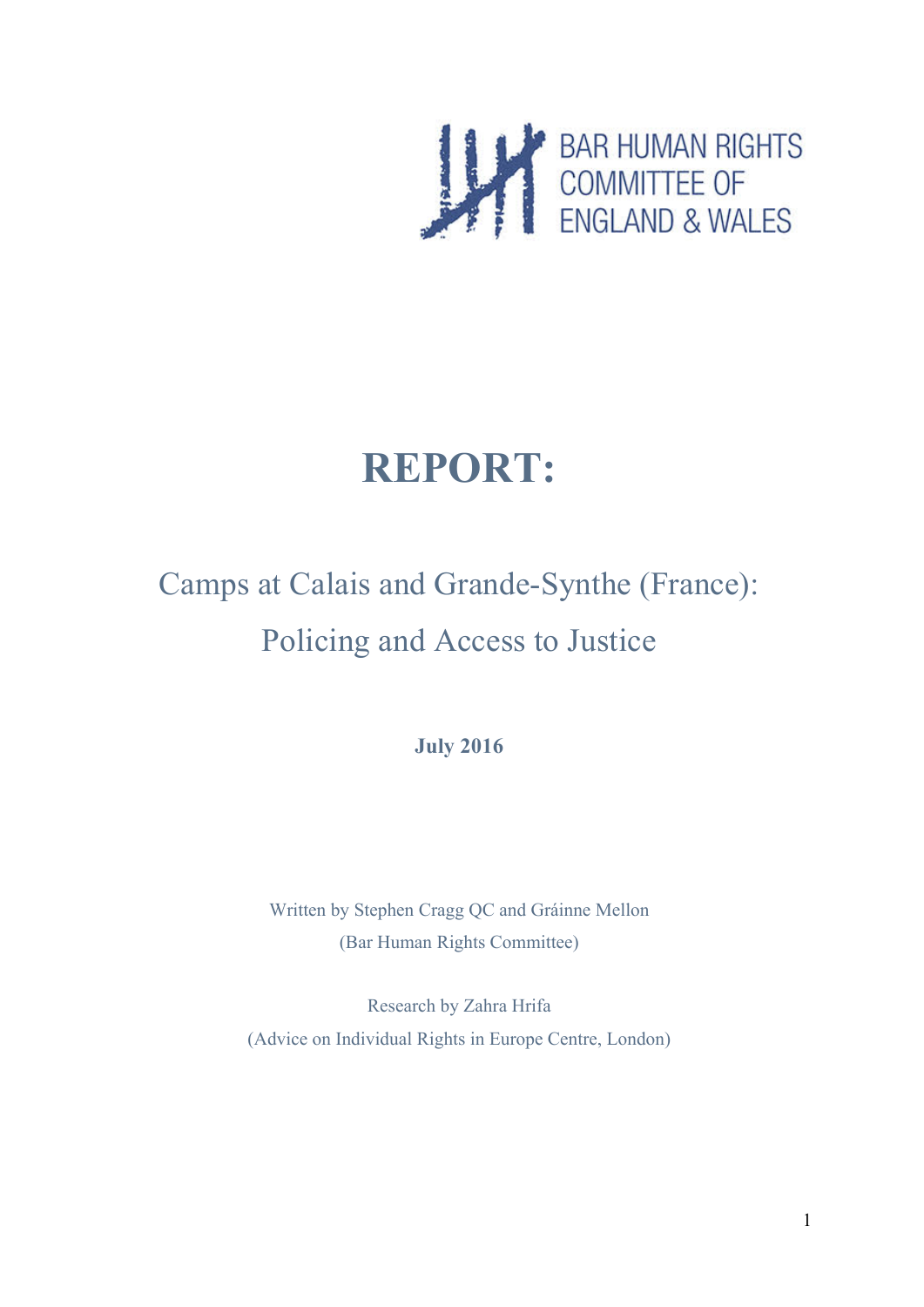

# **REPORT:**

# Camps at Calais and Grande-Synthe (France): Policing and Access to Justice

**July 2016**

Written by Stephen Cragg QC and Gráinne Mellon (Bar Human Rights Committee)

Research by Zahra Hrifa (Advice on Individual Rights in Europe Centre, London)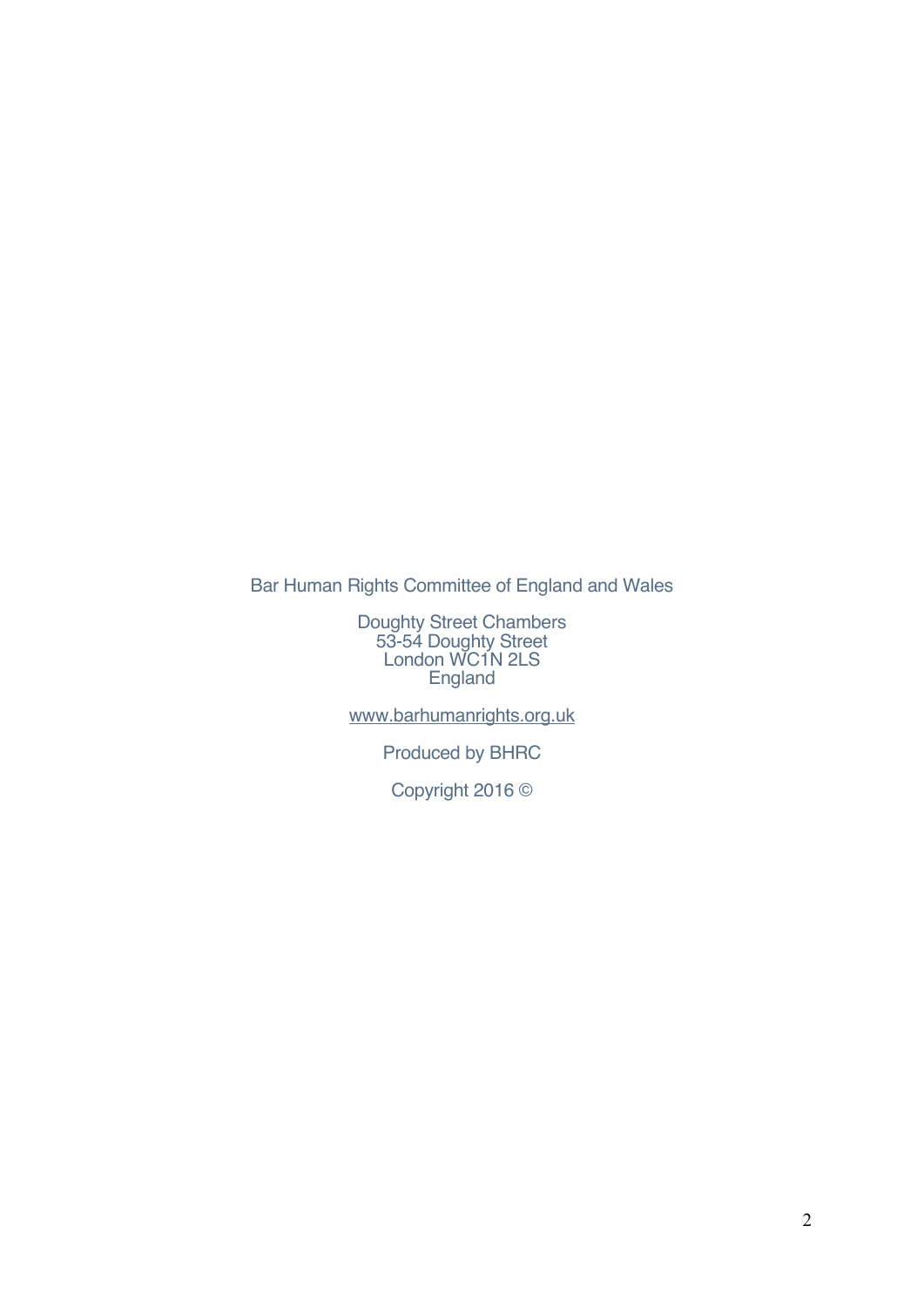Bar Human Rights Committee of England and Wales

Doughty Street Chambers 53-54 Doughty Street London WC1N 2LS England

www.barhumanrights.org.uk

Produced by BHRC

Copyright 2016 ©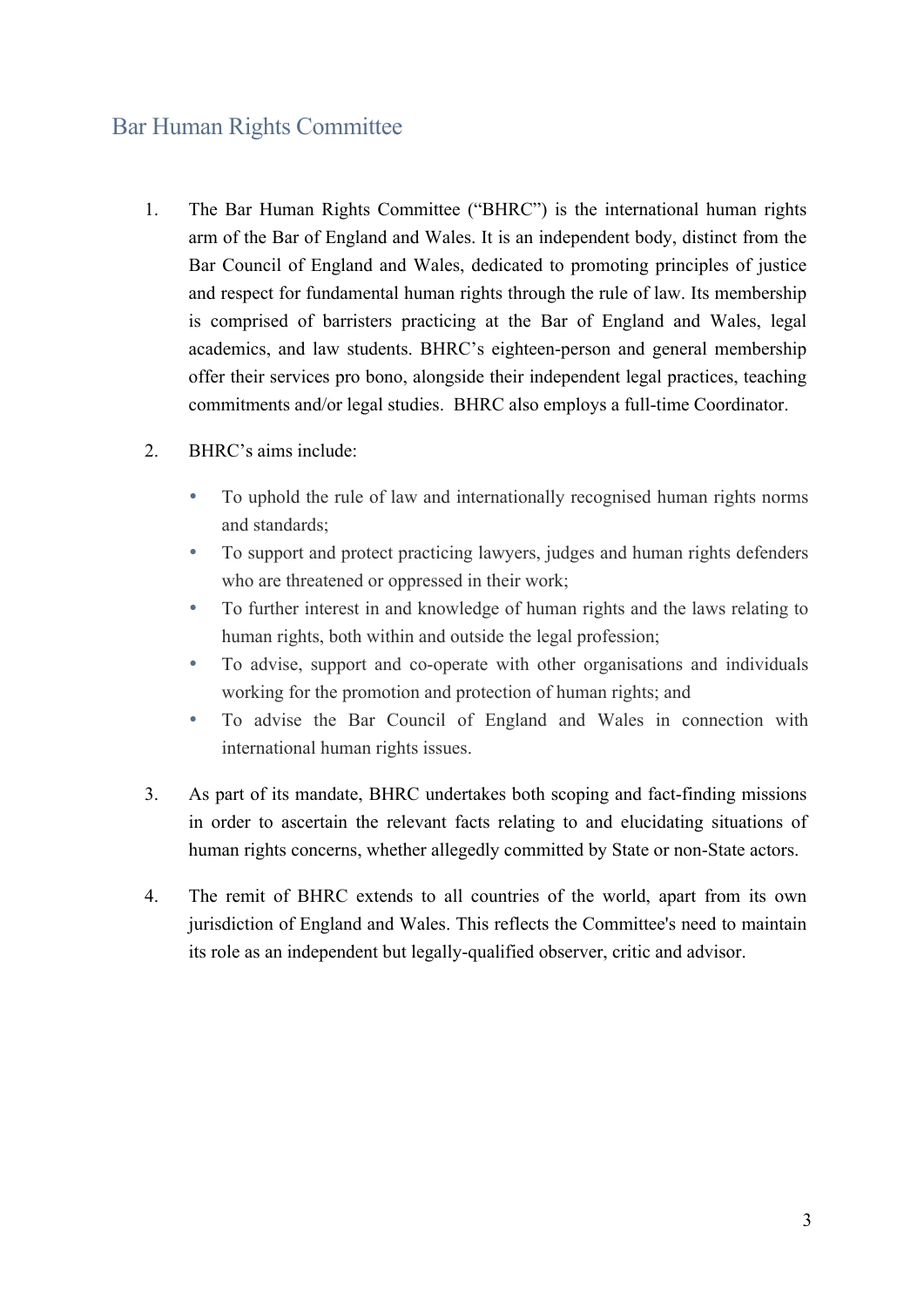## Bar Human Rights Committee

- 1. The Bar Human Rights Committee ("BHRC") is the international human rights arm of the Bar of England and Wales. It is an independent body, distinct from the Bar Council of England and Wales, dedicated to promoting principles of justice and respect for fundamental human rights through the rule of law. Its membership is comprised of barristers practicing at the Bar of England and Wales, legal academics, and law students. BHRC's eighteen-person and general membership offer their services pro bono, alongside their independent legal practices, teaching commitments and/or legal studies. BHRC also employs a full-time Coordinator.
- 2. BHRC's aims include:
	- To uphold the rule of law and internationally recognised human rights norms and standards;
	- To support and protect practicing lawyers, judges and human rights defenders who are threatened or oppressed in their work;
	- To further interest in and knowledge of human rights and the laws relating to human rights, both within and outside the legal profession;
	- To advise, support and co-operate with other organisations and individuals working for the promotion and protection of human rights; and
	- To advise the Bar Council of England and Wales in connection with international human rights issues.
- 3. As part of its mandate, BHRC undertakes both scoping and fact-finding missions in order to ascertain the relevant facts relating to and elucidating situations of human rights concerns, whether allegedly committed by State or non-State actors.
- 4. The remit of BHRC extends to all countries of the world, apart from its own jurisdiction of England and Wales. This reflects the Committee's need to maintain its role as an independent but legally-qualified observer, critic and advisor.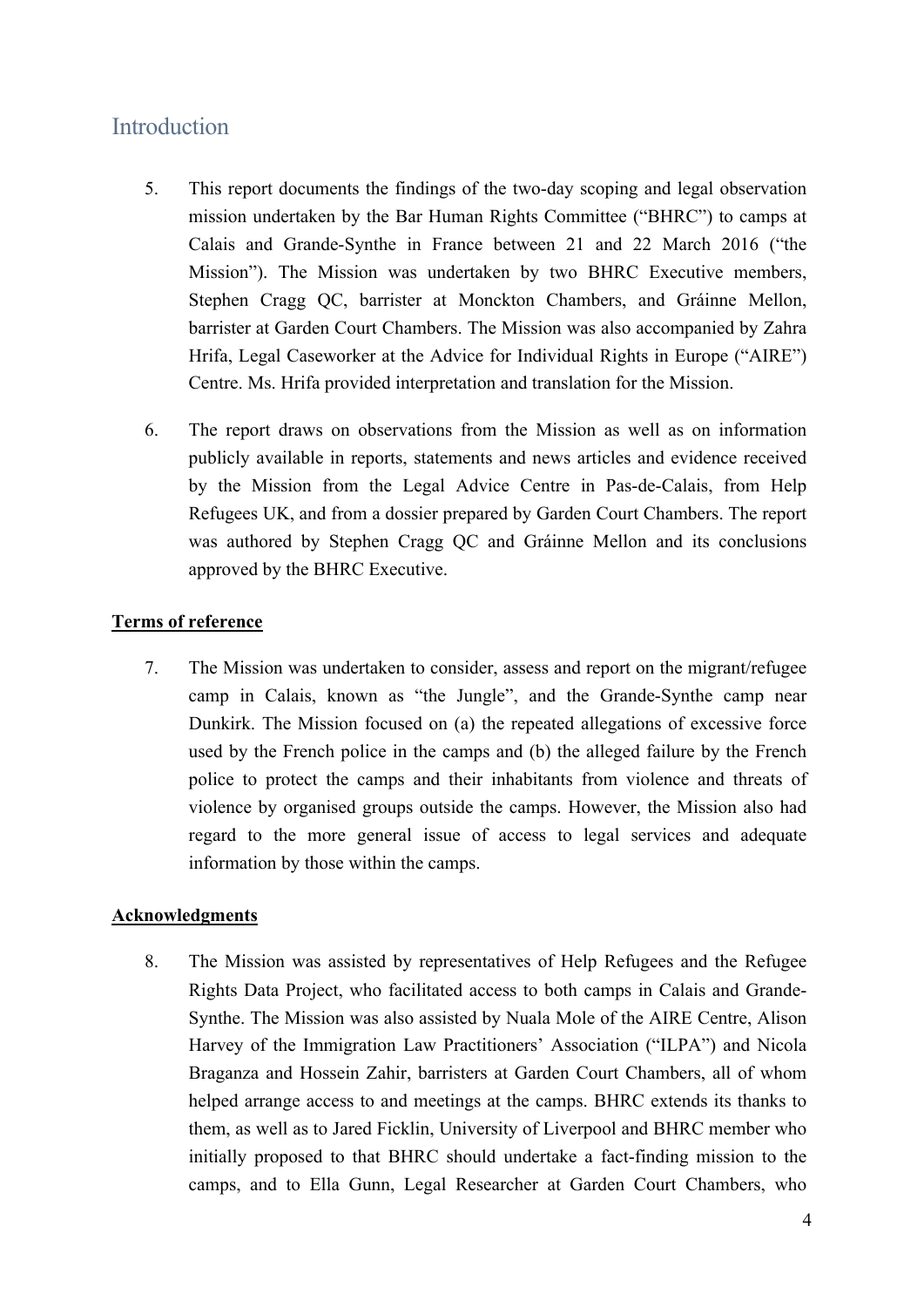## Introduction

- 5. This report documents the findings of the two-day scoping and legal observation mission undertaken by the Bar Human Rights Committee ("BHRC") to camps at Calais and Grande-Synthe in France between 21 and 22 March 2016 ("the Mission"). The Mission was undertaken by two BHRC Executive members, Stephen Cragg QC, barrister at Monckton Chambers, and Gráinne Mellon, barrister at Garden Court Chambers. The Mission was also accompanied by Zahra Hrifa, Legal Caseworker at the Advice for Individual Rights in Europe ("AIRE") Centre. Ms. Hrifa provided interpretation and translation for the Mission.
- 6. The report draws on observations from the Mission as well as on information publicly available in reports, statements and news articles and evidence received by the Mission from the Legal Advice Centre in Pas-de-Calais, from Help Refugees UK, and from a dossier prepared by Garden Court Chambers. The report was authored by Stephen Cragg QC and Gráinne Mellon and its conclusions approved by the BHRC Executive.

#### **Terms of reference**

7. The Mission was undertaken to consider, assess and report on the migrant/refugee camp in Calais, known as "the Jungle", and the Grande-Synthe camp near Dunkirk. The Mission focused on (a) the repeated allegations of excessive force used by the French police in the camps and (b) the alleged failure by the French police to protect the camps and their inhabitants from violence and threats of violence by organised groups outside the camps. However, the Mission also had regard to the more general issue of access to legal services and adequate information by those within the camps.

#### **Acknowledgments**

8. The Mission was assisted by representatives of Help Refugees and the Refugee Rights Data Project, who facilitated access to both camps in Calais and Grande-Synthe. The Mission was also assisted by Nuala Mole of the AIRE Centre, Alison Harvey of the Immigration Law Practitioners' Association ("ILPA") and Nicola Braganza and Hossein Zahir, barristers at Garden Court Chambers, all of whom helped arrange access to and meetings at the camps. BHRC extends its thanks to them, as well as to Jared Ficklin, University of Liverpool and BHRC member who initially proposed to that BHRC should undertake a fact-finding mission to the camps, and to Ella Gunn, Legal Researcher at Garden Court Chambers, who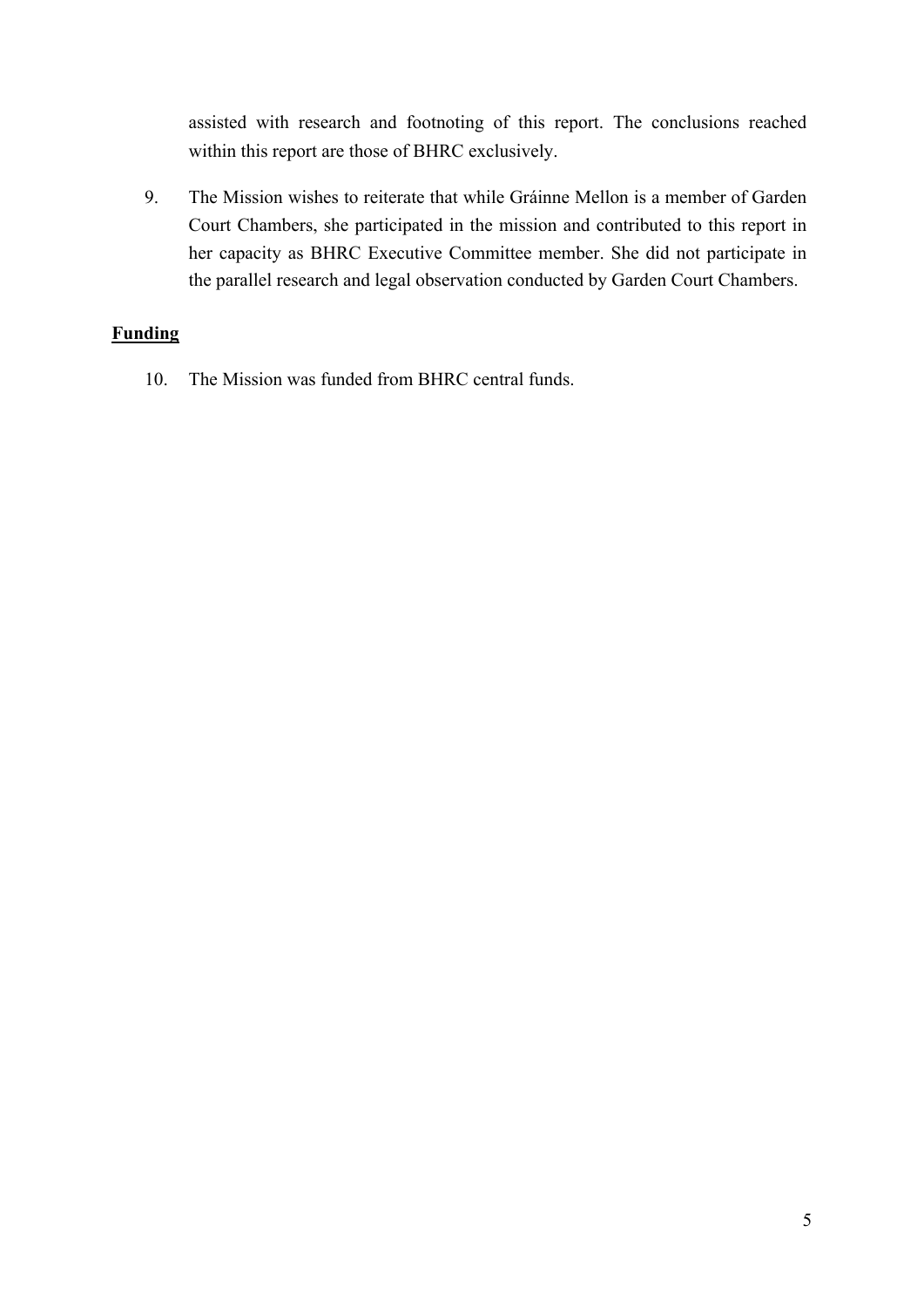assisted with research and footnoting of this report. The conclusions reached within this report are those of BHRC exclusively.

9. The Mission wishes to reiterate that while Gráinne Mellon is a member of Garden Court Chambers, she participated in the mission and contributed to this report in her capacity as BHRC Executive Committee member. She did not participate in the parallel research and legal observation conducted by Garden Court Chambers.

## **Funding**

10. The Mission was funded from BHRC central funds.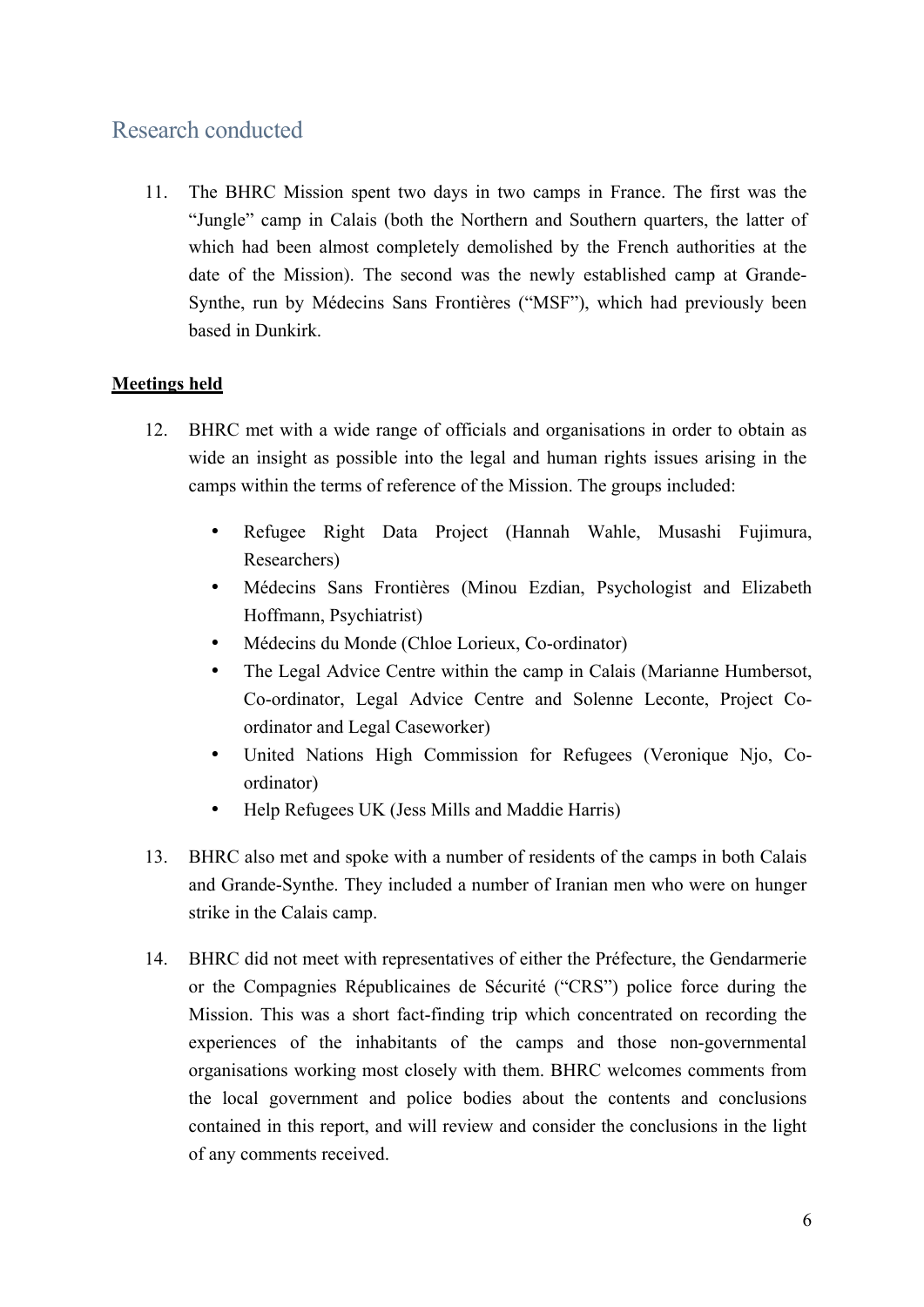## Research conducted

11. The BHRC Mission spent two days in two camps in France. The first was the "Jungle" camp in Calais (both the Northern and Southern quarters, the latter of which had been almost completely demolished by the French authorities at the date of the Mission). The second was the newly established camp at Grande-Synthe, run by Médecins Sans Frontières ("MSF"), which had previously been based in Dunkirk.

## **Meetings held**

- 12. BHRC met with a wide range of officials and organisations in order to obtain as wide an insight as possible into the legal and human rights issues arising in the camps within the terms of reference of the Mission. The groups included:
	- Refugee Right Data Project (Hannah Wahle, Musashi Fujimura, Researchers)
	- Médecins Sans Frontières (Minou Ezdian, Psychologist and Elizabeth Hoffmann, Psychiatrist)
	- Médecins du Monde (Chloe Lorieux, Co-ordinator)
	- The Legal Advice Centre within the camp in Calais (Marianne Humbersot, Co-ordinator, Legal Advice Centre and Solenne Leconte, Project Coordinator and Legal Caseworker)
	- United Nations High Commission for Refugees (Veronique Njo, Coordinator)
	- Help Refugees UK (Jess Mills and Maddie Harris)
- 13. BHRC also met and spoke with a number of residents of the camps in both Calais and Grande-Synthe. They included a number of Iranian men who were on hunger strike in the Calais camp.
- 14. BHRC did not meet with representatives of either the Préfecture, the Gendarmerie or the Compagnies Républicaines de Sécurité ("CRS") police force during the Mission. This was a short fact-finding trip which concentrated on recording the experiences of the inhabitants of the camps and those non-governmental organisations working most closely with them. BHRC welcomes comments from the local government and police bodies about the contents and conclusions contained in this report, and will review and consider the conclusions in the light of any comments received.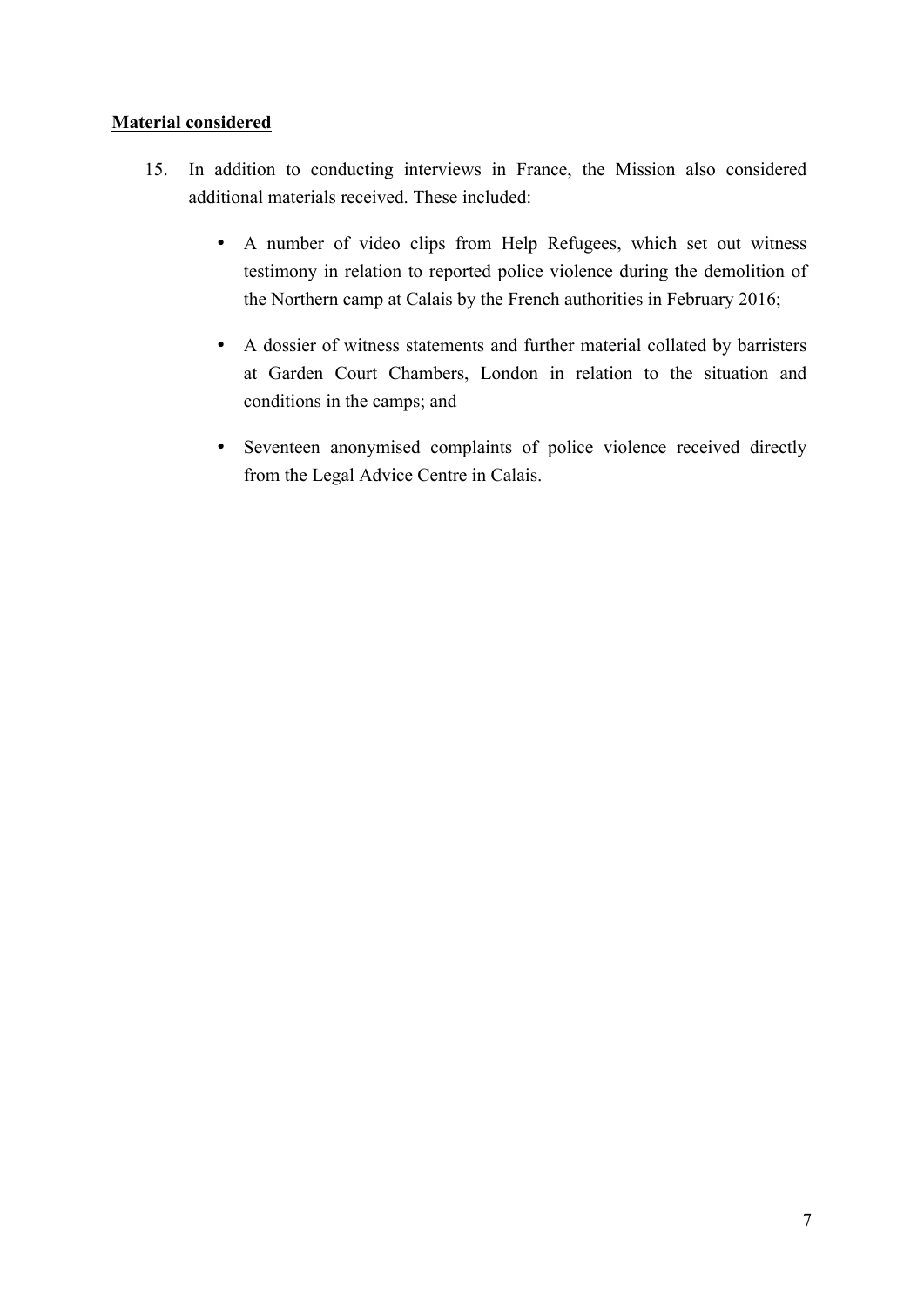## **Material considered**

- 15. In addition to conducting interviews in France, the Mission also considered additional materials received. These included:
	- A number of video clips from Help Refugees, which set out witness testimony in relation to reported police violence during the demolition of the Northern camp at Calais by the French authorities in February 2016;
	- A dossier of witness statements and further material collated by barristers at Garden Court Chambers, London in relation to the situation and conditions in the camps; and
	- Seventeen anonymised complaints of police violence received directly from the Legal Advice Centre in Calais.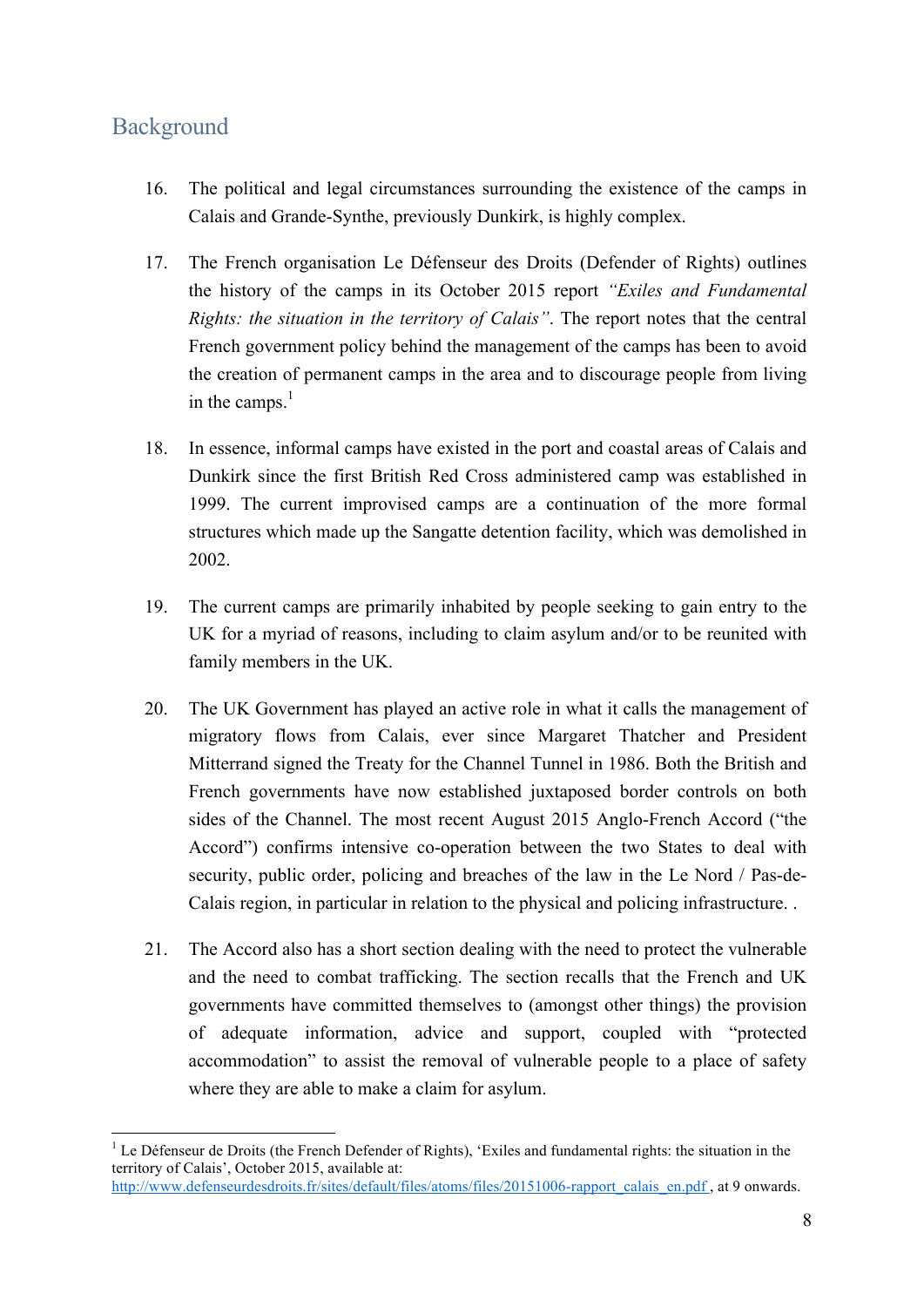## Background

- 16. The political and legal circumstances surrounding the existence of the camps in Calais and Grande-Synthe, previously Dunkirk, is highly complex.
- 17. The French organisation Le Défenseur des Droits (Defender of Rights) outlines the history of the camps in its October 2015 report *"Exiles and Fundamental Rights: the situation in the territory of Calais"*. The report notes that the central French government policy behind the management of the camps has been to avoid the creation of permanent camps in the area and to discourage people from living in the camps. $<sup>1</sup>$ </sup>
- 18. In essence, informal camps have existed in the port and coastal areas of Calais and Dunkirk since the first British Red Cross administered camp was established in 1999. The current improvised camps are a continuation of the more formal structures which made up the Sangatte detention facility, which was demolished in 2002.
- 19. The current camps are primarily inhabited by people seeking to gain entry to the UK for a myriad of reasons, including to claim asylum and/or to be reunited with family members in the UK.
- 20. The UK Government has played an active role in what it calls the management of migratory flows from Calais, ever since Margaret Thatcher and President Mitterrand signed the Treaty for the Channel Tunnel in 1986. Both the British and French governments have now established juxtaposed border controls on both sides of the Channel. The most recent August 2015 Anglo-French Accord ("the Accord") confirms intensive co-operation between the two States to deal with security, public order, policing and breaches of the law in the Le Nord / Pas-de-Calais region, in particular in relation to the physical and policing infrastructure. .
- 21. The Accord also has a short section dealing with the need to protect the vulnerable and the need to combat trafficking. The section recalls that the French and UK governments have committed themselves to (amongst other things) the provision of adequate information, advice and support, coupled with "protected accommodation" to assist the removal of vulnerable people to a place of safety where they are able to make a claim for asylum.

<sup>&</sup>lt;sup>1</sup> Le Défenseur de Droits (the French Defender of Rights), 'Exiles and fundamental rights: the situation in the territory of Calais', October 2015, available at: http://www.defenseurdesdroits.fr/sites/default/files/atoms/files/20151006-rapport\_calais\_en.pdf, at 9 onwards.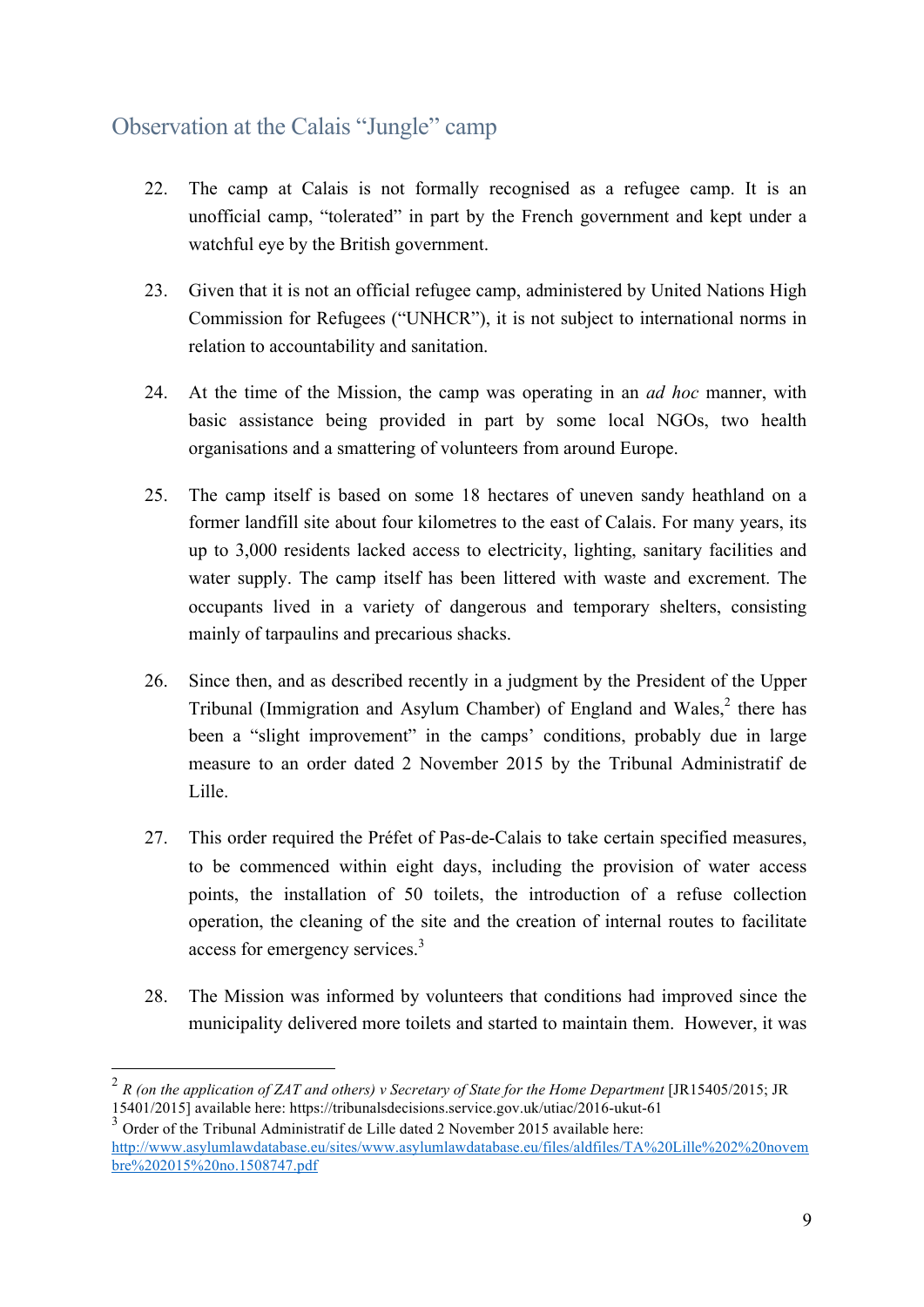## Observation at the Calais "Jungle" camp

- 22. The camp at Calais is not formally recognised as a refugee camp. It is an unofficial camp, "tolerated" in part by the French government and kept under a watchful eye by the British government.
- 23. Given that it is not an official refugee camp, administered by United Nations High Commission for Refugees ("UNHCR"), it is not subject to international norms in relation to accountability and sanitation.
- 24. At the time of the Mission, the camp was operating in an *ad hoc* manner, with basic assistance being provided in part by some local NGOs, two health organisations and a smattering of volunteers from around Europe.
- 25. The camp itself is based on some 18 hectares of uneven sandy heathland on a former landfill site about four kilometres to the east of Calais. For many years, its up to 3,000 residents lacked access to electricity, lighting, sanitary facilities and water supply. The camp itself has been littered with waste and excrement. The occupants lived in a variety of dangerous and temporary shelters, consisting mainly of tarpaulins and precarious shacks.
- 26. Since then, and as described recently in a judgment by the President of the Upper Tribunal (Immigration and Asylum Chamber) of England and Wales,<sup>2</sup> there has been a "slight improvement" in the camps' conditions, probably due in large measure to an order dated 2 November 2015 by the Tribunal Administratif de Lille.
- 27. This order required the Préfet of Pas-de-Calais to take certain specified measures, to be commenced within eight days, including the provision of water access points, the installation of 50 toilets, the introduction of a refuse collection operation, the cleaning of the site and the creation of internal routes to facilitate access for emergency services.<sup>3</sup>
- 28. The Mission was informed by volunteers that conditions had improved since the municipality delivered more toilets and started to maintain them. However, it was

 <sup>2</sup> *R (on the application of ZAT and others) v Secretary of State for the Home Department* [JR15405/2015; JR 15401/2015] available here: https://tribunalsdecisions.service.gov.uk/utiac/2016-ukut-61

<sup>3</sup> Order of the Tribunal Administratif de Lille dated 2 November 2015 available here: http://www.asylumlawdatabase.eu/sites/www.asylumlawdatabase.eu/files/aldfiles/TA%20Lille%202%20novem bre%202015%20no.1508747.pdf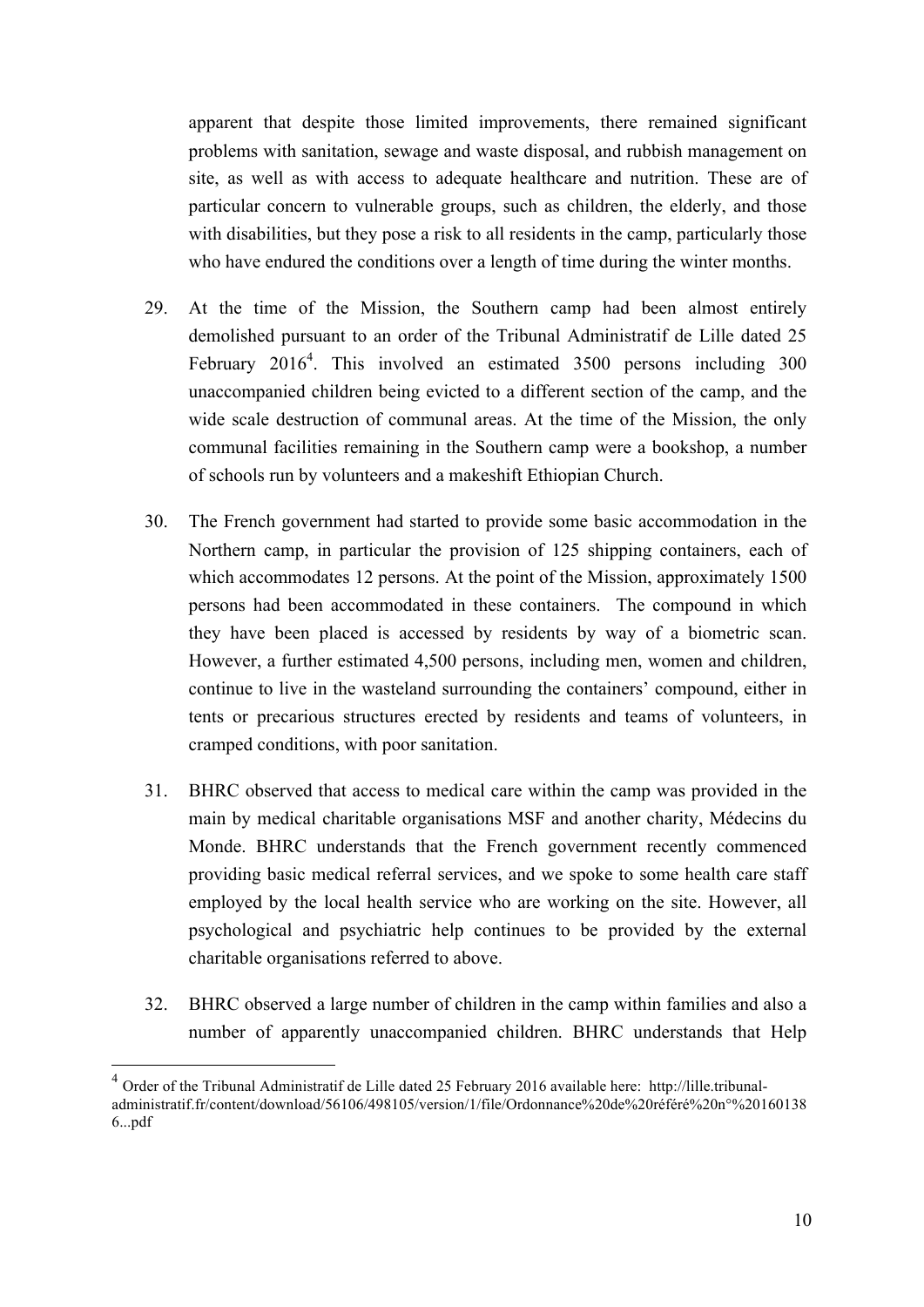apparent that despite those limited improvements, there remained significant problems with sanitation, sewage and waste disposal, and rubbish management on site, as well as with access to adequate healthcare and nutrition. These are of particular concern to vulnerable groups, such as children, the elderly, and those with disabilities, but they pose a risk to all residents in the camp, particularly those who have endured the conditions over a length of time during the winter months.

- 29. At the time of the Mission, the Southern camp had been almost entirely demolished pursuant to an order of the Tribunal Administratif de Lille dated 25 February  $2016<sup>4</sup>$ . This involved an estimated 3500 persons including 300 unaccompanied children being evicted to a different section of the camp, and the wide scale destruction of communal areas. At the time of the Mission, the only communal facilities remaining in the Southern camp were a bookshop, a number of schools run by volunteers and a makeshift Ethiopian Church.
- 30. The French government had started to provide some basic accommodation in the Northern camp, in particular the provision of 125 shipping containers, each of which accommodates 12 persons. At the point of the Mission, approximately 1500 persons had been accommodated in these containers. The compound in which they have been placed is accessed by residents by way of a biometric scan. However, a further estimated 4,500 persons, including men, women and children, continue to live in the wasteland surrounding the containers' compound, either in tents or precarious structures erected by residents and teams of volunteers, in cramped conditions, with poor sanitation.
- 31. BHRC observed that access to medical care within the camp was provided in the main by medical charitable organisations MSF and another charity, Médecins du Monde. BHRC understands that the French government recently commenced providing basic medical referral services, and we spoke to some health care staff employed by the local health service who are working on the site. However, all psychological and psychiatric help continues to be provided by the external charitable organisations referred to above.
- 32. BHRC observed a large number of children in the camp within families and also a number of apparently unaccompanied children. BHRC understands that Help

<sup>&</sup>lt;sup>4</sup> Order of the Tribunal Administratif de Lille dated 25 February 2016 available here: http://lille.tribunaladministratif.fr/content/download/56106/498105/version/1/file/Ordonnance%20de%20référé%20n°%20160138 6...pdf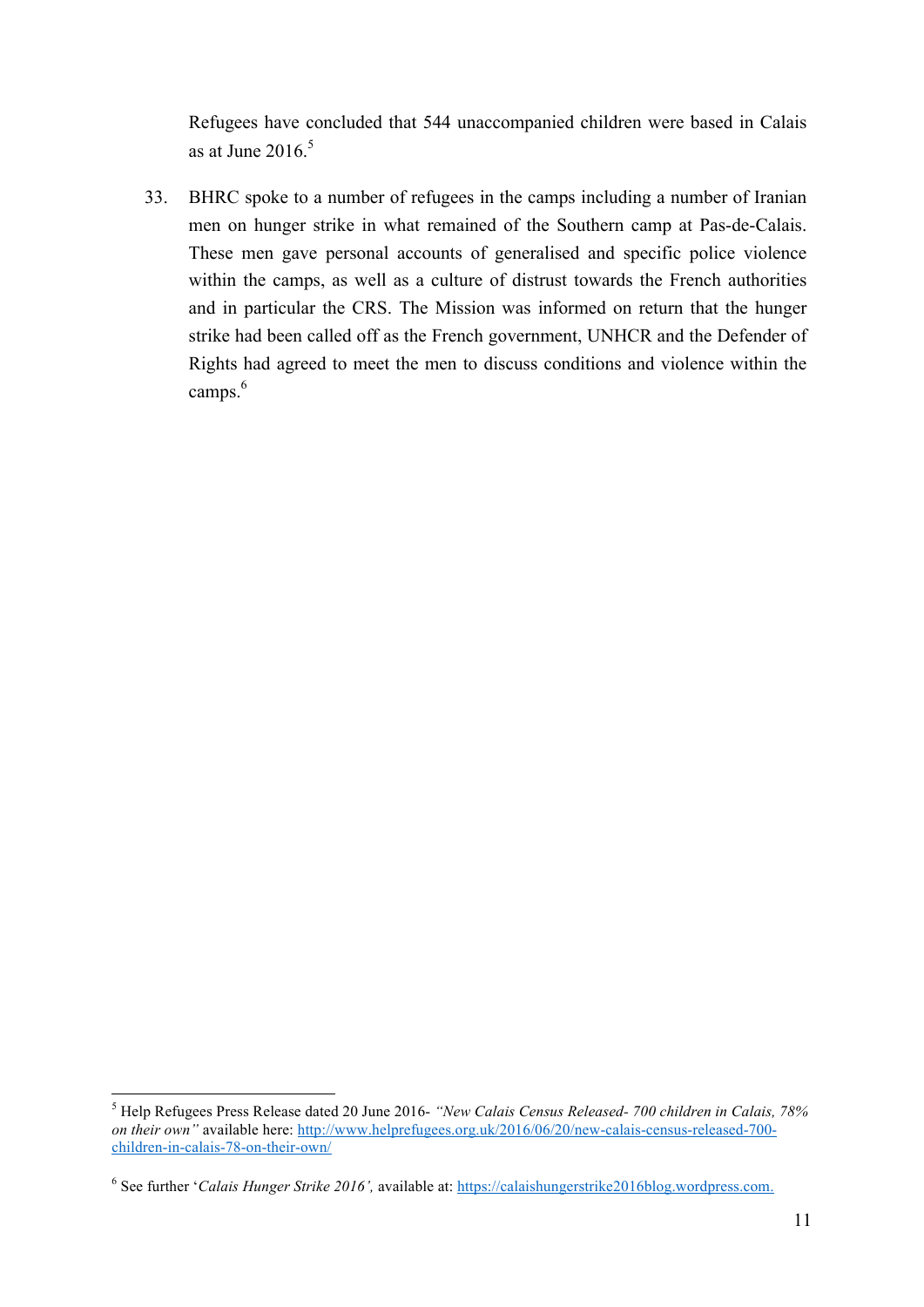Refugees have concluded that 544 unaccompanied children were based in Calais as at June  $2016<sup>5</sup>$ 

33. BHRC spoke to a number of refugees in the camps including a number of Iranian men on hunger strike in what remained of the Southern camp at Pas-de-Calais. These men gave personal accounts of generalised and specific police violence within the camps, as well as a culture of distrust towards the French authorities and in particular the CRS. The Mission was informed on return that the hunger strike had been called off as the French government, UNHCR and the Defender of Rights had agreed to meet the men to discuss conditions and violence within the camps. 6

 $\frac{1}{5}$  Help Refugees Press Release dated 20 June 2016- *"New Calais Census Released- 700 children in Calais, 78% on their own"* available here: http://www.helprefugees.org.uk/2016/06/20/new-calais-census-released-700children-in-calais-78-on-their-own/

<sup>6</sup> See further '*Calais Hunger Strike 2016',* available at: https://calaishungerstrike2016blog.wordpress.com.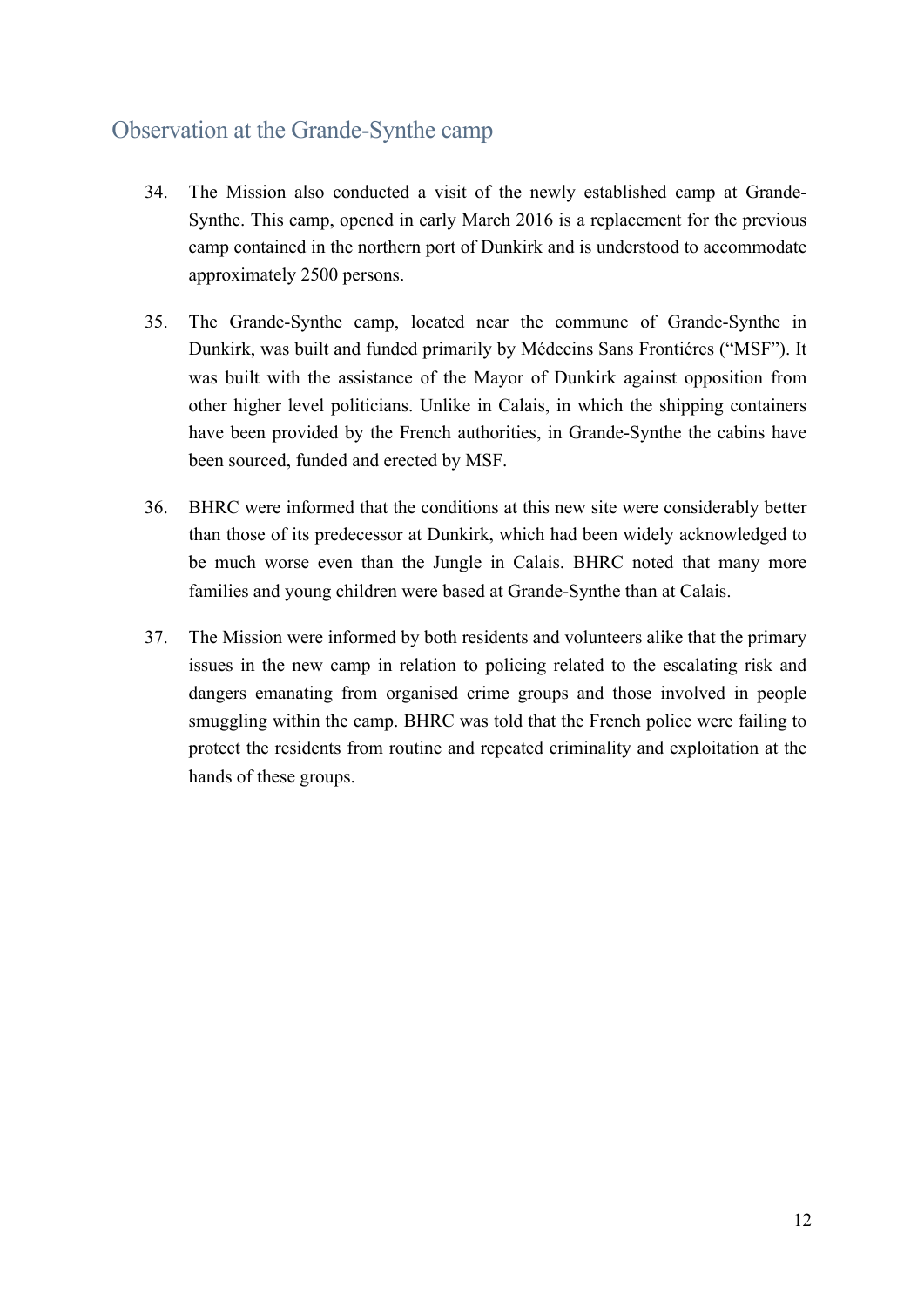## Observation at the Grande-Synthe camp

- 34. The Mission also conducted a visit of the newly established camp at Grande-Synthe. This camp, opened in early March 2016 is a replacement for the previous camp contained in the northern port of Dunkirk and is understood to accommodate approximately 2500 persons.
- 35. The Grande-Synthe camp, located near the commune of Grande-Synthe in Dunkirk, was built and funded primarily by Médecins Sans Frontiéres ("MSF"). It was built with the assistance of the Mayor of Dunkirk against opposition from other higher level politicians. Unlike in Calais, in which the shipping containers have been provided by the French authorities, in Grande-Synthe the cabins have been sourced, funded and erected by MSF.
- 36. BHRC were informed that the conditions at this new site were considerably better than those of its predecessor at Dunkirk, which had been widely acknowledged to be much worse even than the Jungle in Calais. BHRC noted that many more families and young children were based at Grande-Synthe than at Calais.
- 37. The Mission were informed by both residents and volunteers alike that the primary issues in the new camp in relation to policing related to the escalating risk and dangers emanating from organised crime groups and those involved in people smuggling within the camp. BHRC was told that the French police were failing to protect the residents from routine and repeated criminality and exploitation at the hands of these groups.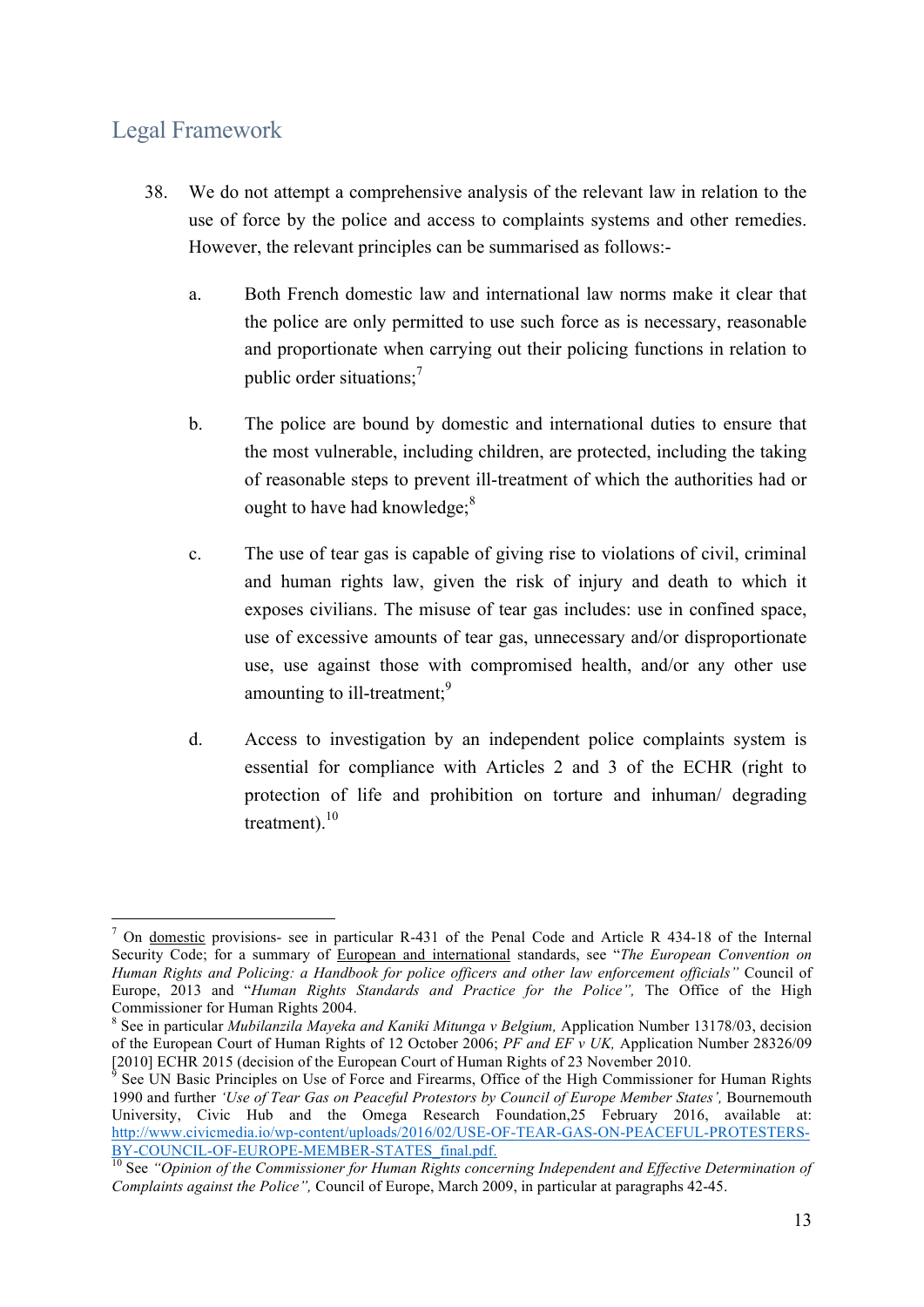## Legal Framework

- 38. We do not attempt a comprehensive analysis of the relevant law in relation to the use of force by the police and access to complaints systems and other remedies. However, the relevant principles can be summarised as follows:
	- a. Both French domestic law and international law norms make it clear that the police are only permitted to use such force as is necessary, reasonable and proportionate when carrying out their policing functions in relation to public order situations;<sup>7</sup>
	- b. The police are bound by domestic and international duties to ensure that the most vulnerable, including children, are protected, including the taking of reasonable steps to prevent ill-treatment of which the authorities had or ought to have had knowledge;<sup>8</sup>
	- c. The use of tear gas is capable of giving rise to violations of civil, criminal and human rights law, given the risk of injury and death to which it exposes civilians. The misuse of tear gas includes: use in confined space, use of excessive amounts of tear gas, unnecessary and/or disproportionate use, use against those with compromised health, and/or any other use amounting to ill-treatment;<sup>9</sup>
	- d. Access to investigation by an independent police complaints system is essential for compliance with Articles 2 and 3 of the ECHR (right to protection of life and prohibition on torture and inhuman/ degrading treatment).<sup>10</sup>

 <sup>7</sup> On domestic provisions- see in particular R-431 of the Penal Code and Article R 434-18 of the Internal Security Code; for a summary of European and international standards, see "*The European Convention on Human Rights and Policing: a Handbook for police officers and other law enforcement officials"* Council of Europe, 2013 and "*Human Rights Standards and Practice for the Police*", The Office of the High Commissioner for Human Rights 2004.

<sup>&</sup>lt;sup>8</sup> See in particular *Mubilanzila Mayeka and Kaniki Mitunga v Belgium*, Application Number 13178/03, decision of the European Court of Human Rights of 12 October 2006; *PF and EF v UK,* Application Number 28326/09 [2010] ECHR 2015 (decision of the European Court of Human Rights of 23 November 2010. <sup>9</sup> See UN Basic Principles on Use of Force and Firearms, Office of the High Commissioner for Human Rights

<sup>1990</sup> and further *'Use of Tear Gas on Peaceful Protestors by Council of Europe Member States',* Bournemouth University, Civic Hub and the Omega Research Foundation,25 February 2016, available at: http://www.civicmedia.io/wp-content/uploads/2016/02/USE-OF-TEAR-GAS-ON-PEACEFUL-PROTESTERS-

BY-COUNCIL-OF-EUROPE-MEMBER-MEMBER-STATES\_FINAL\_PAR-<br><sup>10</sup> See *"Opinion of the Commissioner for Human Rights concerning Independent and Effective Determination of Complaints against the Police",* Council of Europe, March 2009, in particular at paragraphs 42-45.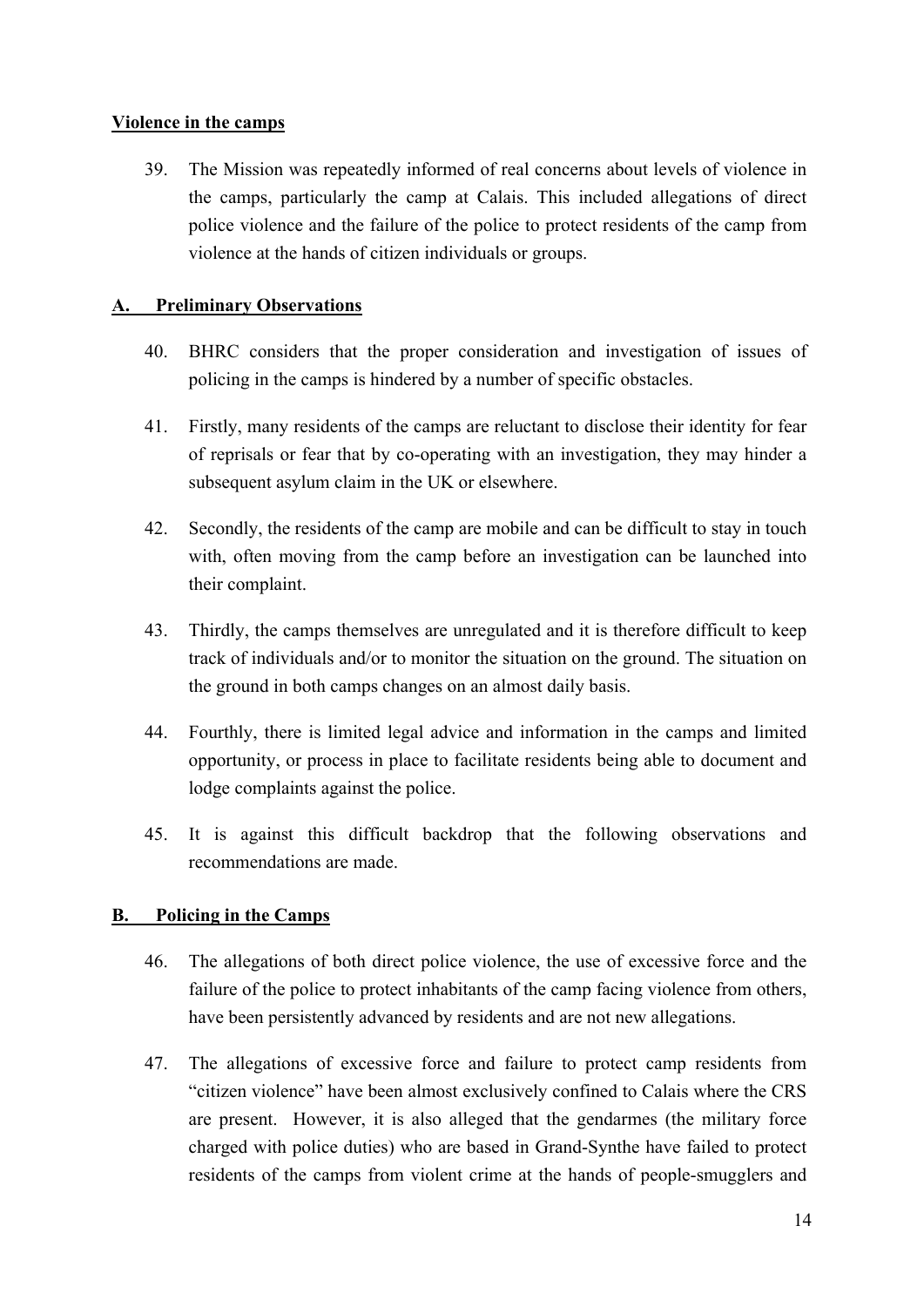#### **Violence in the camps**

39. The Mission was repeatedly informed of real concerns about levels of violence in the camps, particularly the camp at Calais. This included allegations of direct police violence and the failure of the police to protect residents of the camp from violence at the hands of citizen individuals or groups.

## **A. Preliminary Observations**

- 40. BHRC considers that the proper consideration and investigation of issues of policing in the camps is hindered by a number of specific obstacles.
- 41. Firstly, many residents of the camps are reluctant to disclose their identity for fear of reprisals or fear that by co-operating with an investigation, they may hinder a subsequent asylum claim in the UK or elsewhere.
- 42. Secondly, the residents of the camp are mobile and can be difficult to stay in touch with, often moving from the camp before an investigation can be launched into their complaint.
- 43. Thirdly, the camps themselves are unregulated and it is therefore difficult to keep track of individuals and/or to monitor the situation on the ground. The situation on the ground in both camps changes on an almost daily basis.
- 44. Fourthly, there is limited legal advice and information in the camps and limited opportunity, or process in place to facilitate residents being able to document and lodge complaints against the police.
- 45. It is against this difficult backdrop that the following observations and recommendations are made.

## **B. Policing in the Camps**

- 46. The allegations of both direct police violence, the use of excessive force and the failure of the police to protect inhabitants of the camp facing violence from others, have been persistently advanced by residents and are not new allegations.
- 47. The allegations of excessive force and failure to protect camp residents from "citizen violence" have been almost exclusively confined to Calais where the CRS are present. However, it is also alleged that the gendarmes (the military force charged with police duties) who are based in Grand-Synthe have failed to protect residents of the camps from violent crime at the hands of people-smugglers and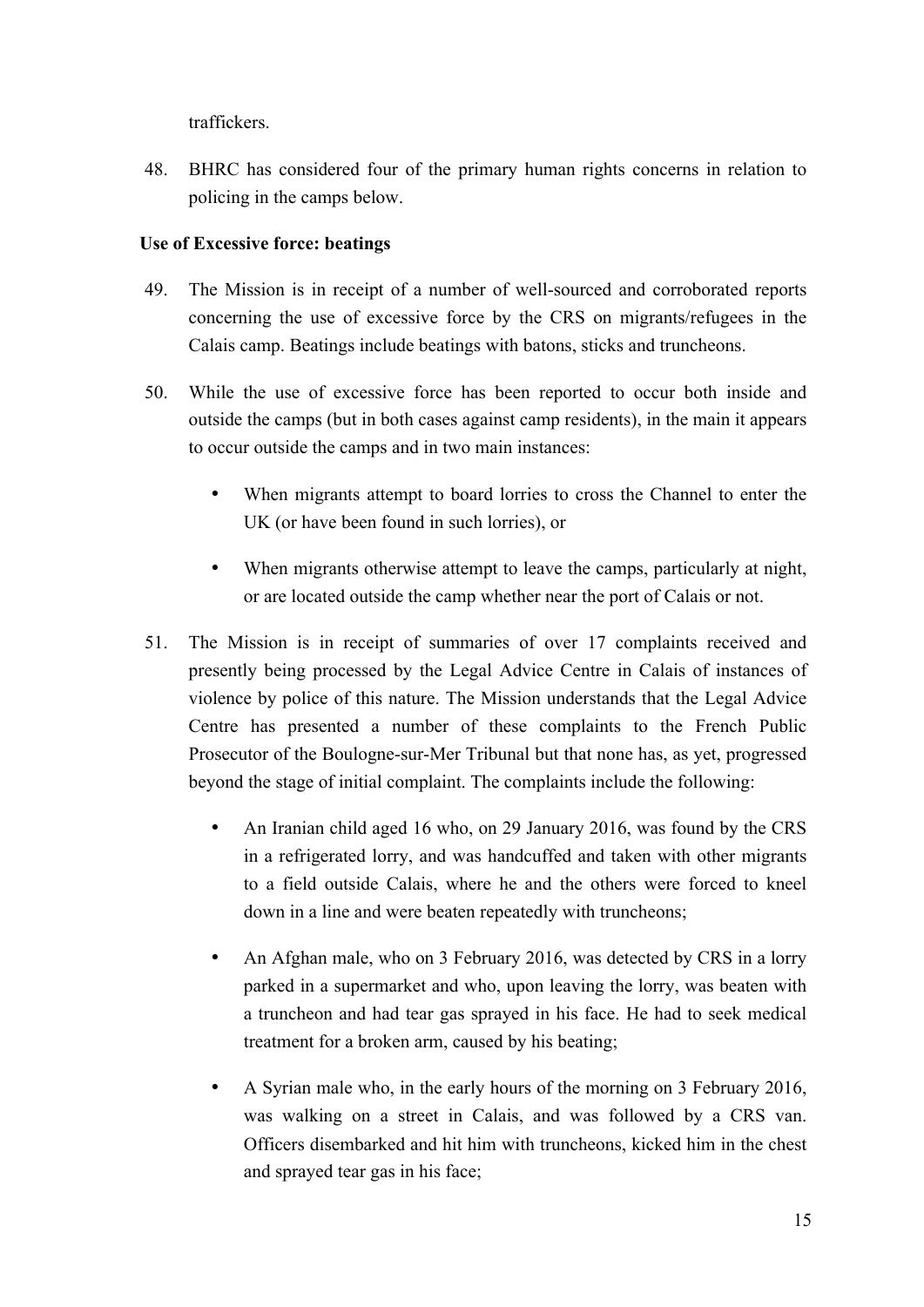traffickers.

48. BHRC has considered four of the primary human rights concerns in relation to policing in the camps below.

## **Use of Excessive force: beatings**

- 49. The Mission is in receipt of a number of well-sourced and corroborated reports concerning the use of excessive force by the CRS on migrants/refugees in the Calais camp. Beatings include beatings with batons, sticks and truncheons.
- 50. While the use of excessive force has been reported to occur both inside and outside the camps (but in both cases against camp residents), in the main it appears to occur outside the camps and in two main instances:
	- When migrants attempt to board lorries to cross the Channel to enter the UK (or have been found in such lorries), or
	- When migrants otherwise attempt to leave the camps, particularly at night, or are located outside the camp whether near the port of Calais or not.
- 51. The Mission is in receipt of summaries of over 17 complaints received and presently being processed by the Legal Advice Centre in Calais of instances of violence by police of this nature. The Mission understands that the Legal Advice Centre has presented a number of these complaints to the French Public Prosecutor of the Boulogne-sur-Mer Tribunal but that none has, as yet, progressed beyond the stage of initial complaint. The complaints include the following:
	- An Iranian child aged 16 who, on 29 January 2016, was found by the CRS in a refrigerated lorry, and was handcuffed and taken with other migrants to a field outside Calais, where he and the others were forced to kneel down in a line and were beaten repeatedly with truncheons;
	- An Afghan male, who on 3 February 2016, was detected by CRS in a lorry parked in a supermarket and who, upon leaving the lorry, was beaten with a truncheon and had tear gas sprayed in his face. He had to seek medical treatment for a broken arm, caused by his beating;
	- A Syrian male who, in the early hours of the morning on 3 February 2016, was walking on a street in Calais, and was followed by a CRS van. Officers disembarked and hit him with truncheons, kicked him in the chest and sprayed tear gas in his face;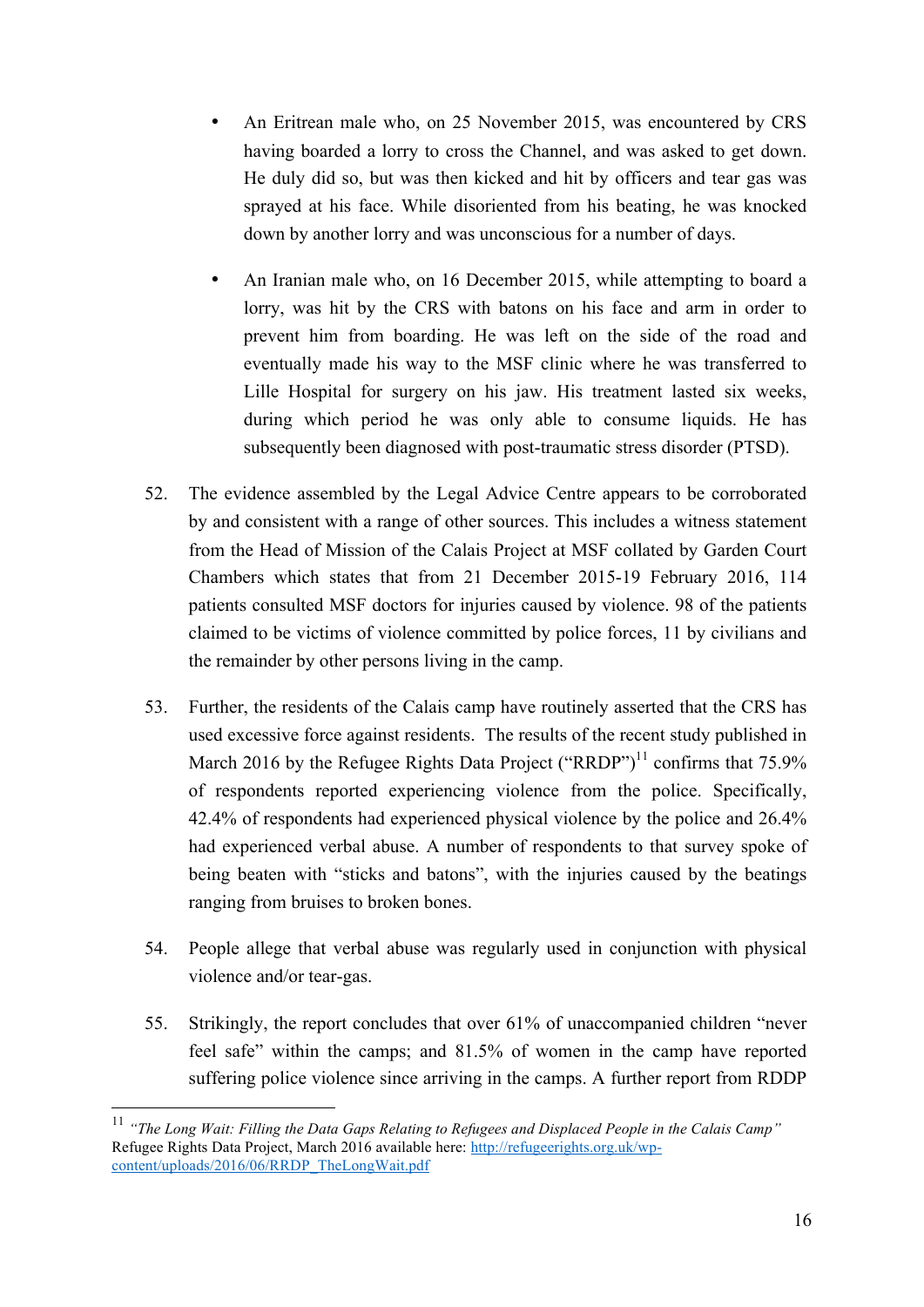- An Eritrean male who, on 25 November 2015, was encountered by CRS having boarded a lorry to cross the Channel, and was asked to get down. He duly did so, but was then kicked and hit by officers and tear gas was sprayed at his face. While disoriented from his beating, he was knocked down by another lorry and was unconscious for a number of days.
- An Iranian male who, on 16 December 2015, while attempting to board a lorry, was hit by the CRS with batons on his face and arm in order to prevent him from boarding. He was left on the side of the road and eventually made his way to the MSF clinic where he was transferred to Lille Hospital for surgery on his jaw. His treatment lasted six weeks, during which period he was only able to consume liquids. He has subsequently been diagnosed with post-traumatic stress disorder (PTSD).
- 52. The evidence assembled by the Legal Advice Centre appears to be corroborated by and consistent with a range of other sources. This includes a witness statement from the Head of Mission of the Calais Project at MSF collated by Garden Court Chambers which states that from 21 December 2015-19 February 2016, 114 patients consulted MSF doctors for injuries caused by violence. 98 of the patients claimed to be victims of violence committed by police forces, 11 by civilians and the remainder by other persons living in the camp.
- 53. Further, the residents of the Calais camp have routinely asserted that the CRS has used excessive force against residents. The results of the recent study published in March 2016 by the Refugee Rights Data Project ("RRDP")<sup>11</sup> confirms that 75.9% of respondents reported experiencing violence from the police. Specifically, 42.4% of respondents had experienced physical violence by the police and 26.4% had experienced verbal abuse. A number of respondents to that survey spoke of being beaten with "sticks and batons", with the injuries caused by the beatings ranging from bruises to broken bones.
- 54. People allege that verbal abuse was regularly used in conjunction with physical violence and/or tear-gas.
- 55. Strikingly, the report concludes that over 61% of unaccompanied children "never feel safe" within the camps; and 81.5% of women in the camp have reported suffering police violence since arriving in the camps. A further report from RDDP

 <sup>11</sup> *"The Long Wait: Filling the Data Gaps Relating to Refugees and Displaced People in the Calais Camp"*  Refugee Rights Data Project, March 2016 available here: http://refugeerights.org.uk/wpcontent/uploads/2016/06/RRDP\_TheLongWait.pdf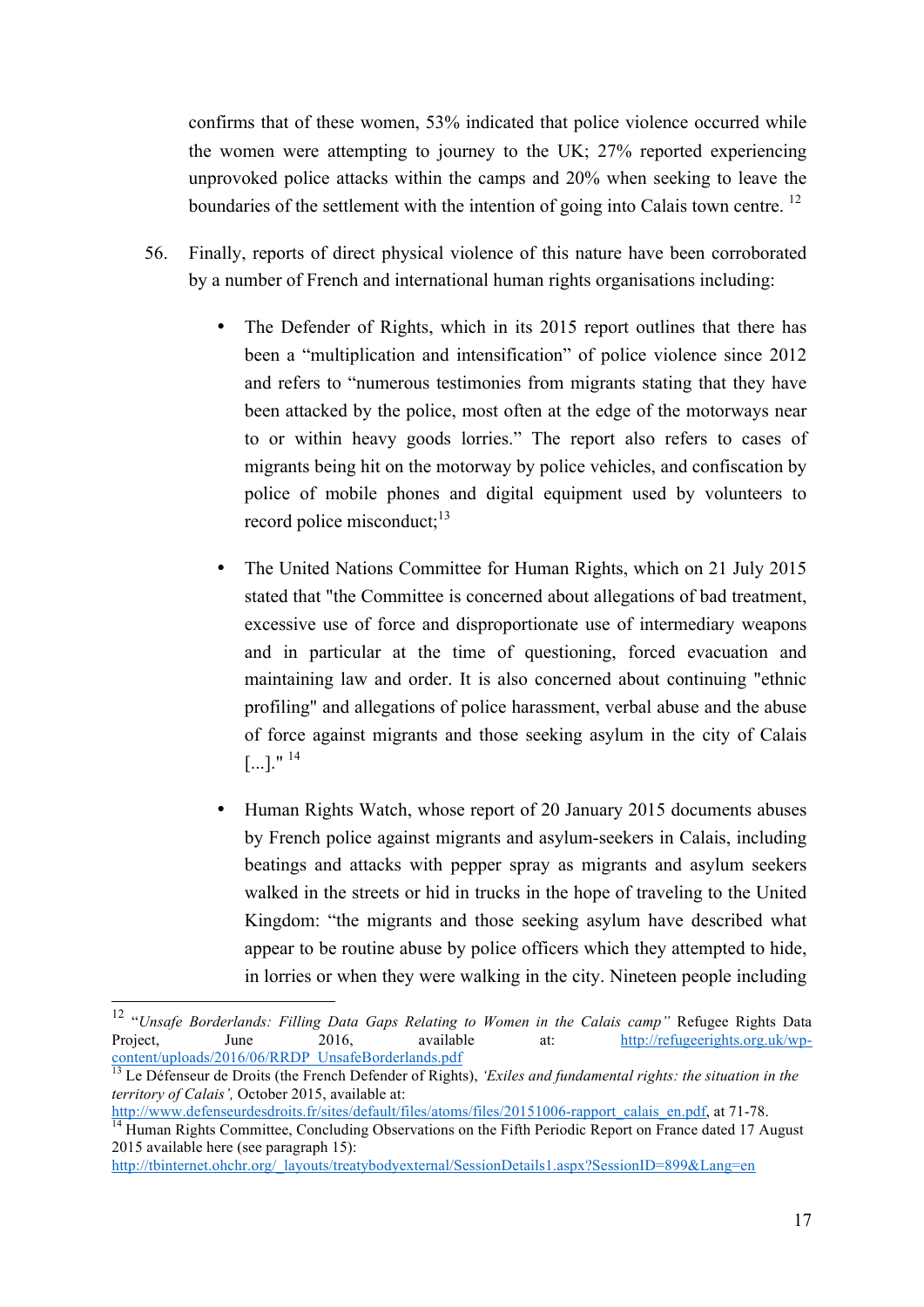confirms that of these women, 53% indicated that police violence occurred while the women were attempting to journey to the UK; 27% reported experiencing unprovoked police attacks within the camps and 20% when seeking to leave the boundaries of the settlement with the intention of going into Calais town centre.<sup>12</sup>

- 56. Finally, reports of direct physical violence of this nature have been corroborated by a number of French and international human rights organisations including:
	- The Defender of Rights, which in its 2015 report outlines that there has been a "multiplication and intensification" of police violence since 2012 and refers to "numerous testimonies from migrants stating that they have been attacked by the police, most often at the edge of the motorways near to or within heavy goods lorries." The report also refers to cases of migrants being hit on the motorway by police vehicles, and confiscation by police of mobile phones and digital equipment used by volunteers to record police misconduct;<sup>13</sup>
	- The United Nations Committee for Human Rights, which on 21 July 2015 stated that "the Committee is concerned about allegations of bad treatment, excessive use of force and disproportionate use of intermediary weapons and in particular at the time of questioning, forced evacuation and maintaining law and order. It is also concerned about continuing "ethnic profiling" and allegations of police harassment, verbal abuse and the abuse of force against migrants and those seeking asylum in the city of Calais  $[...]$ ." <sup>14</sup>
	- Human Rights Watch, whose report of 20 January 2015 documents abuses by French police against migrants and asylum-seekers in Calais, including beatings and attacks with pepper spray as migrants and asylum seekers walked in the streets or hid in trucks in the hope of traveling to the United Kingdom: "the migrants and those seeking asylum have described what appear to be routine abuse by police officers which they attempted to hide, in lorries or when they were walking in the city. Nineteen people including

 <sup>12</sup> "*Unsafe Borderlands: Filling Data Gaps Relating to Women in the Calais camp"* Refugee Rights Data Project, June 2016, available at: http://refugeerights.org.uk/wpcontent/uploads/2016/06/RRDP\_UnsafeBorderlands.pdf

<sup>&</sup>lt;sup>13</sup> Le Défenseur de Droits (the French Defender of Rights), *'Exiles and fundamental rights: the situation in the territory of Calais'*, October 2015, available at:<br>http://www.defenseurdesdroits.fr/sites/default/files/atoms/files/20151006-rapport calais en.pdf. at 71-78.

 $\frac{14}{14}$  Human Rights Committee, Concluding Observations on the Fifth Periodic Report on France dated 17 August 2015 available here (see paragraph 15):

http://tbinternet.ohchr.org/\_layouts/treatybodyexternal/SessionDetails1.aspx?SessionID=899&Lang=en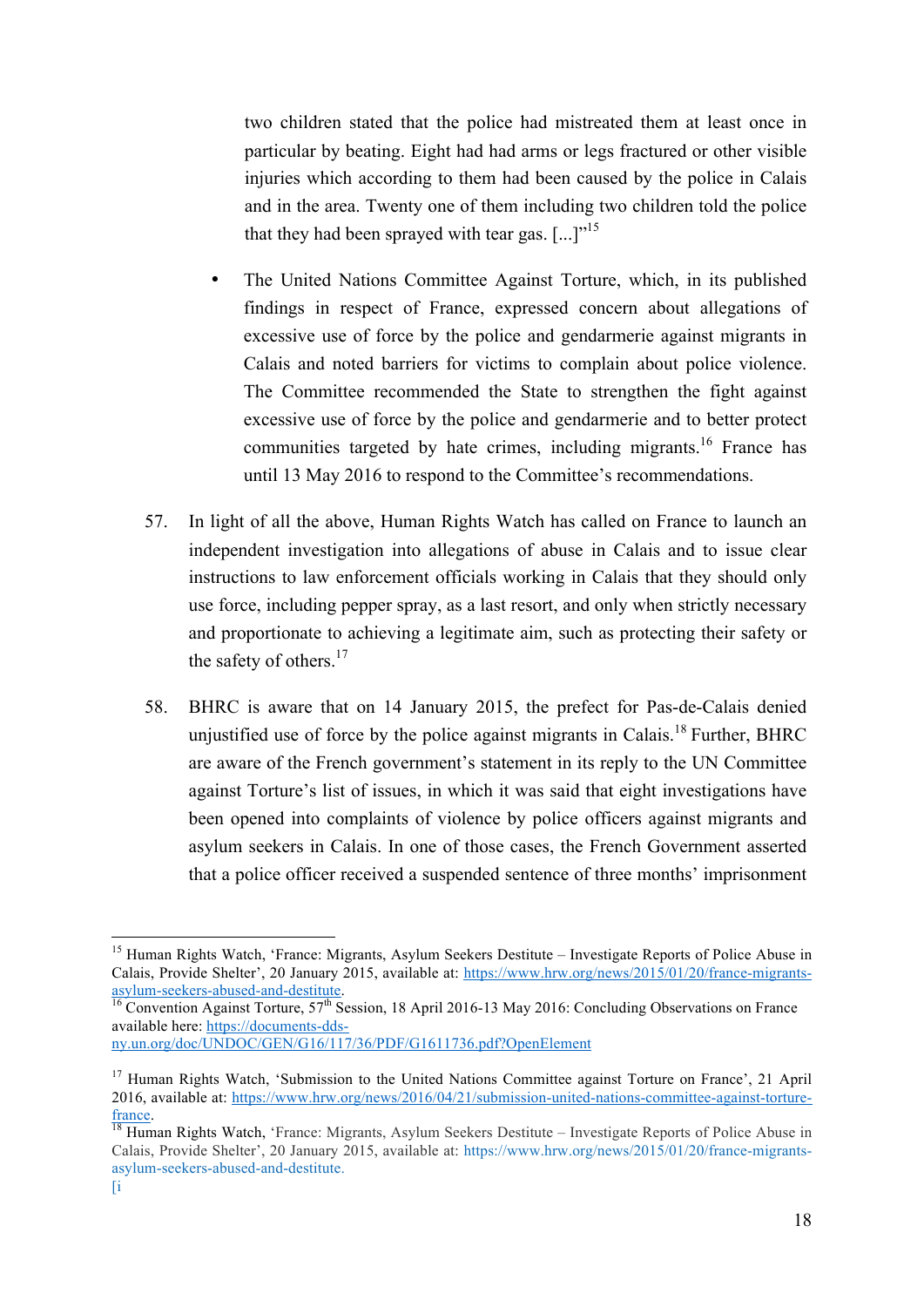two children stated that the police had mistreated them at least once in particular by beating. Eight had had arms or legs fractured or other visible injuries which according to them had been caused by the police in Calais and in the area. Twenty one of them including two children told the police that they had been sprayed with tear gas.  $[\dots]^{15}$ 

- The United Nations Committee Against Torture, which, in its published findings in respect of France, expressed concern about allegations of excessive use of force by the police and gendarmerie against migrants in Calais and noted barriers for victims to complain about police violence. The Committee recommended the State to strengthen the fight against excessive use of force by the police and gendarmerie and to better protect communities targeted by hate crimes, including migrants.<sup>16</sup> France has until 13 May 2016 to respond to the Committee's recommendations.
- 57. In light of all the above, Human Rights Watch has called on France to launch an independent investigation into allegations of abuse in Calais and to issue clear instructions to law enforcement officials working in Calais that they should only use force, including pepper spray, as a last resort, and only when strictly necessary and proportionate to achieving a legitimate aim, such as protecting their safety or the safety of others.<sup>17</sup>
- 58. BHRC is aware that on 14 January 2015, the prefect for Pas-de-Calais denied unjustified use of force by the police against migrants in Calais.<sup>18</sup> Further, BHRC are aware of the French government's statement in its reply to the UN Committee against Torture's list of issues, in which it was said that eight investigations have been opened into complaints of violence by police officers against migrants and asylum seekers in Calais. In one of those cases, the French Government asserted that a police officer received a suspended sentence of three months' imprisonment

<sup>&</sup>lt;sup>15</sup> Human Rights Watch, 'France: Migrants, Asylum Seekers Destitute – Investigate Reports of Police Abuse in Calais, Provide Shelter', 20 January 2015, available at: https://www.hrw.org/news/2015/01/20/france-migrantsasylum-seekers-abused-and-destitute.<br><sup>16</sup> Convention Against Torture, 57<sup>th</sup> Session, 18 April 2016-13 May 2016: Concluding Observations on France

available here: https://documents-dds-

ny.un.org/doc/UNDOC/GEN/G16/117/36/PDF/G1611736.pdf?OpenElement

<sup>&</sup>lt;sup>17</sup> Human Rights Watch, 'Submission to the United Nations Committee against Torture on France', 21 April 2016, available at: https://www.hrw.org/news/2016/04/21/submission-united-nations-committee-against-torturefrance.<br><sup>18</sup> Human Rights Watch, 'France: Migrants, Asylum Seekers Destitute – Investigate Reports of Police Abuse in

Calais, Provide Shelter', 20 January 2015, available at: https://www.hrw.org/news/2015/01/20/france-migrantsasylum-seekers-abused-and-destitute.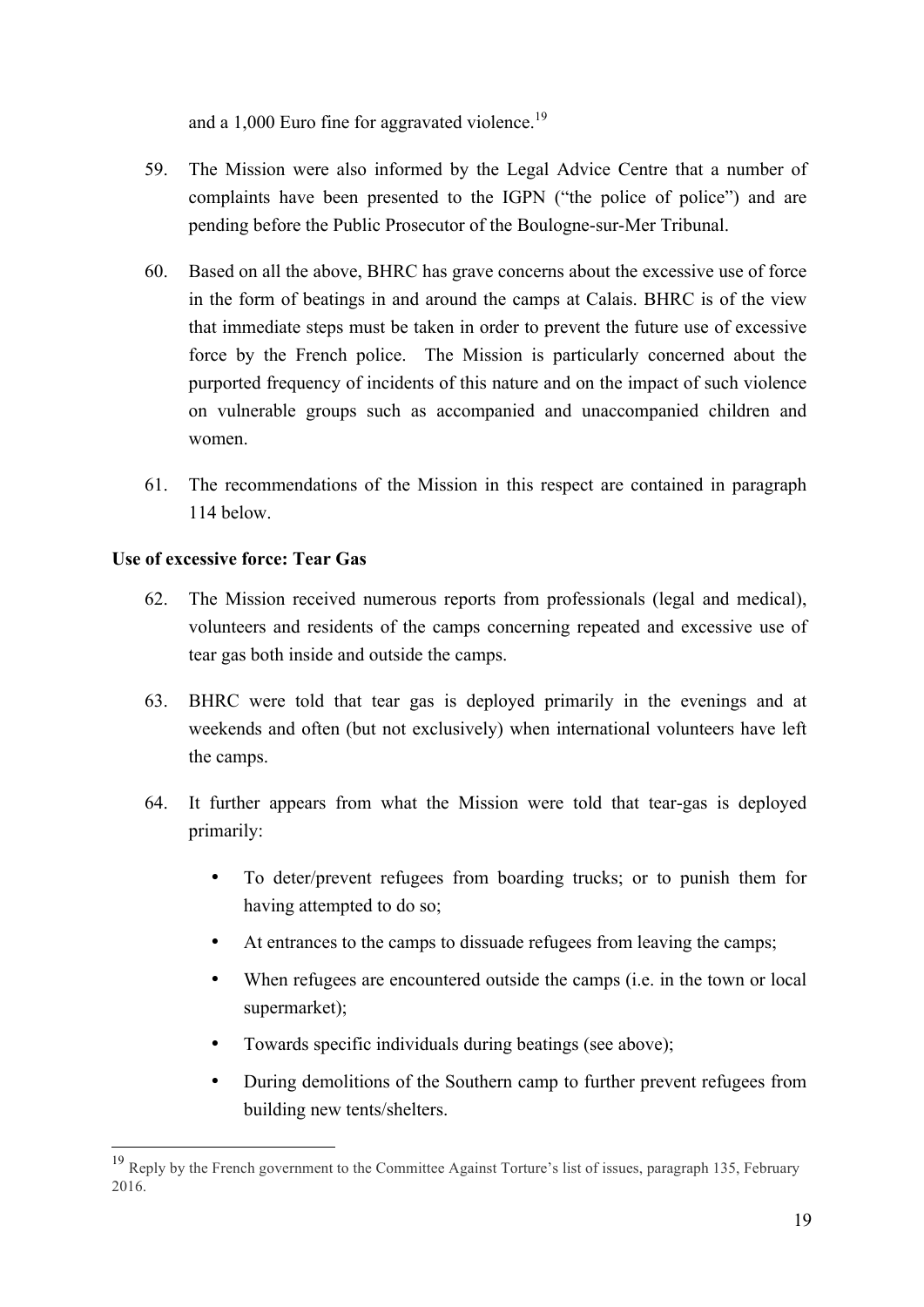and a 1,000 Euro fine for aggravated violence.<sup>19</sup>

- 59. The Mission were also informed by the Legal Advice Centre that a number of complaints have been presented to the IGPN ("the police of police") and are pending before the Public Prosecutor of the Boulogne-sur-Mer Tribunal.
- 60. Based on all the above, BHRC has grave concerns about the excessive use of force in the form of beatings in and around the camps at Calais. BHRC is of the view that immediate steps must be taken in order to prevent the future use of excessive force by the French police. The Mission is particularly concerned about the purported frequency of incidents of this nature and on the impact of such violence on vulnerable groups such as accompanied and unaccompanied children and women.
- 61. The recommendations of the Mission in this respect are contained in paragraph 114 below.

#### **Use of excessive force: Tear Gas**

- 62. The Mission received numerous reports from professionals (legal and medical), volunteers and residents of the camps concerning repeated and excessive use of tear gas both inside and outside the camps.
- 63. BHRC were told that tear gas is deployed primarily in the evenings and at weekends and often (but not exclusively) when international volunteers have left the camps.
- 64. It further appears from what the Mission were told that tear-gas is deployed primarily:
	- To deter/prevent refugees from boarding trucks; or to punish them for having attempted to do so;
	- At entrances to the camps to dissuade refugees from leaving the camps;
	- When refugees are encountered outside the camps (i.e. in the town or local supermarket);
	- Towards specific individuals during beatings (see above);
	- During demolitions of the Southern camp to further prevent refugees from building new tents/shelters.

<sup>&</sup>lt;sup>19</sup> Reply by the French government to the Committee Against Torture's list of issues, paragraph 135, February 2016.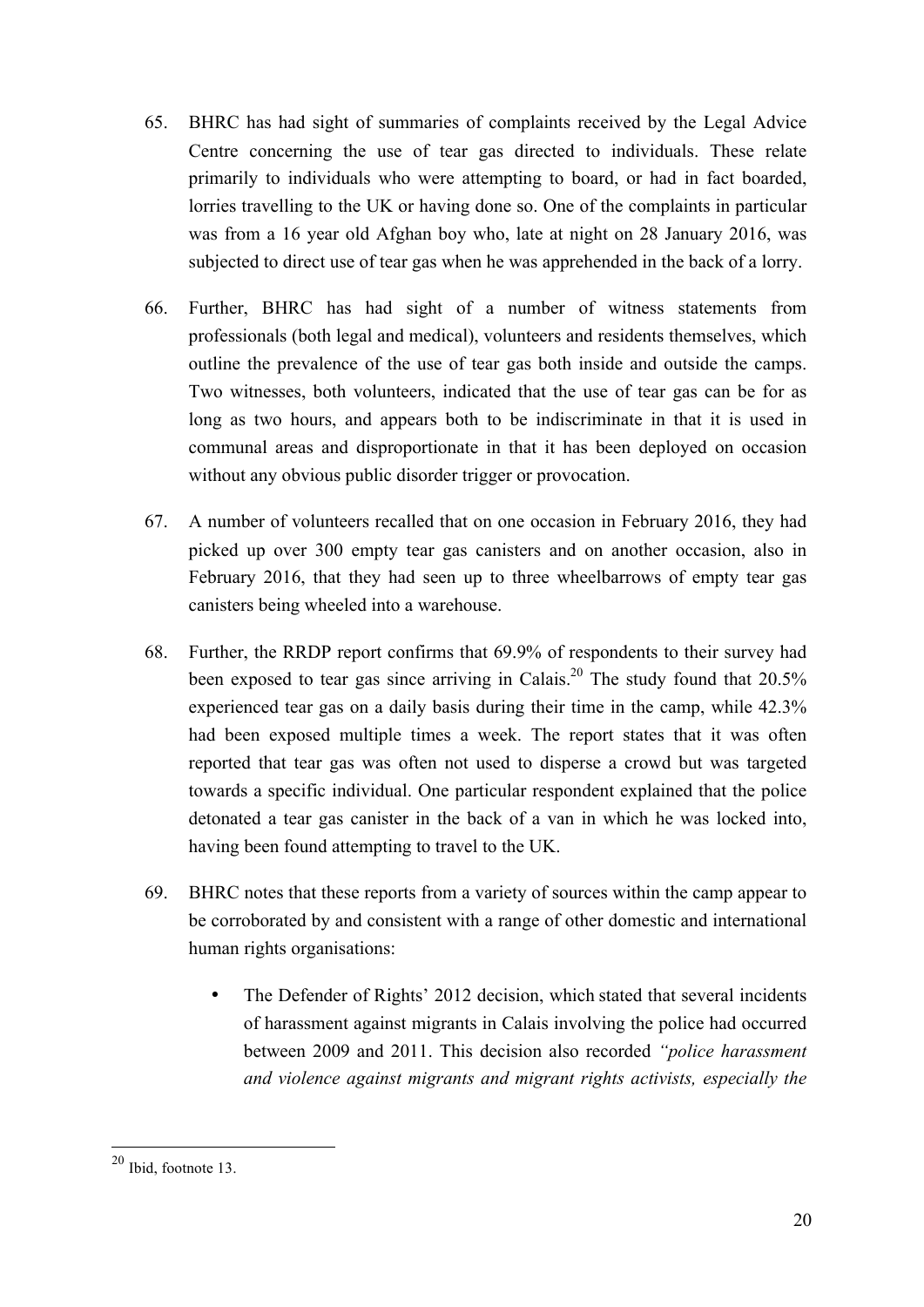- 65. BHRC has had sight of summaries of complaints received by the Legal Advice Centre concerning the use of tear gas directed to individuals. These relate primarily to individuals who were attempting to board, or had in fact boarded, lorries travelling to the UK or having done so. One of the complaints in particular was from a 16 year old Afghan boy who, late at night on 28 January 2016, was subjected to direct use of tear gas when he was apprehended in the back of a lorry.
- 66. Further, BHRC has had sight of a number of witness statements from professionals (both legal and medical), volunteers and residents themselves, which outline the prevalence of the use of tear gas both inside and outside the camps. Two witnesses, both volunteers, indicated that the use of tear gas can be for as long as two hours, and appears both to be indiscriminate in that it is used in communal areas and disproportionate in that it has been deployed on occasion without any obvious public disorder trigger or provocation.
- 67. A number of volunteers recalled that on one occasion in February 2016, they had picked up over 300 empty tear gas canisters and on another occasion, also in February 2016, that they had seen up to three wheelbarrows of empty tear gas canisters being wheeled into a warehouse.
- 68. Further, the RRDP report confirms that 69.9% of respondents to their survey had been exposed to tear gas since arriving in Calais.<sup>20</sup> The study found that  $20.5\%$ experienced tear gas on a daily basis during their time in the camp, while 42.3% had been exposed multiple times a week. The report states that it was often reported that tear gas was often not used to disperse a crowd but was targeted towards a specific individual. One particular respondent explained that the police detonated a tear gas canister in the back of a van in which he was locked into, having been found attempting to travel to the UK.
- 69. BHRC notes that these reports from a variety of sources within the camp appear to be corroborated by and consistent with a range of other domestic and international human rights organisations:
	- The Defender of Rights' 2012 decision, which stated that several incidents of harassment against migrants in Calais involving the police had occurred between 2009 and 2011. This decision also recorded *"police harassment and violence against migrants and migrant rights activists, especially the*

 <sup>20</sup> Ibid, footnote 13.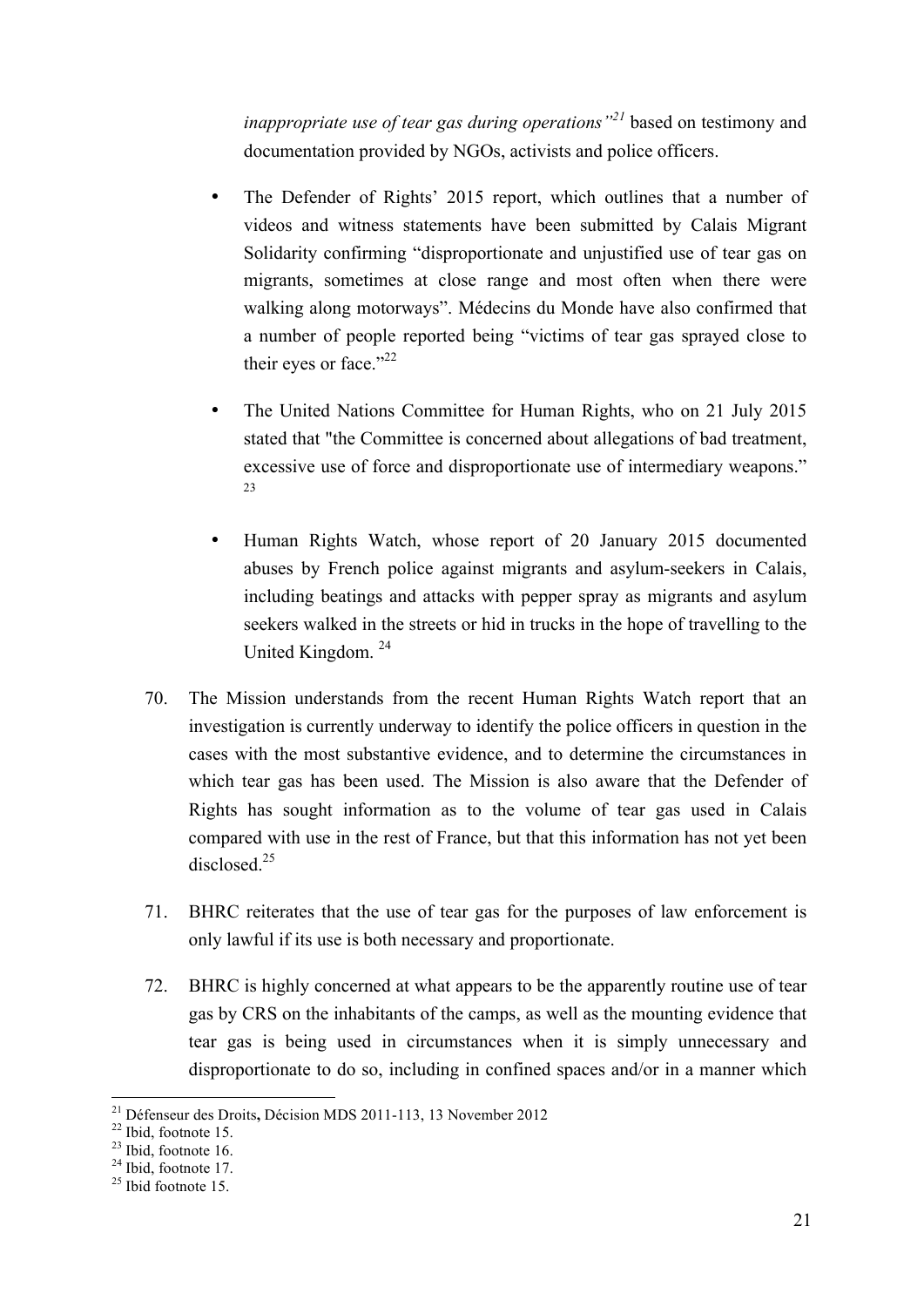*inappropriate use of tear gas during operations"<sup>21</sup>* based on testimony and documentation provided by NGOs, activists and police officers.

- The Defender of Rights' 2015 report, which outlines that a number of videos and witness statements have been submitted by Calais Migrant Solidarity confirming "disproportionate and unjustified use of tear gas on migrants, sometimes at close range and most often when there were walking along motorways". Médecins du Monde have also confirmed that a number of people reported being "victims of tear gas sprayed close to their eyes or face."<sup>22</sup>
- The United Nations Committee for Human Rights, who on 21 July 2015 stated that "the Committee is concerned about allegations of bad treatment, excessive use of force and disproportionate use of intermediary weapons." 23
- Human Rights Watch, whose report of 20 January 2015 documented abuses by French police against migrants and asylum-seekers in Calais, including beatings and attacks with pepper spray as migrants and asylum seekers walked in the streets or hid in trucks in the hope of travelling to the United Kingdom.<sup>24</sup>
- 70. The Mission understands from the recent Human Rights Watch report that an investigation is currently underway to identify the police officers in question in the cases with the most substantive evidence, and to determine the circumstances in which tear gas has been used. The Mission is also aware that the Defender of Rights has sought information as to the volume of tear gas used in Calais compared with use in the rest of France, but that this information has not yet been disclosed.<sup>25</sup>
- 71. BHRC reiterates that the use of tear gas for the purposes of law enforcement is only lawful if its use is both necessary and proportionate.
- 72. BHRC is highly concerned at what appears to be the apparently routine use of tear gas by CRS on the inhabitants of the camps, as well as the mounting evidence that tear gas is being used in circumstances when it is simply unnecessary and disproportionate to do so, including in confined spaces and/or in a manner which

<sup>&</sup>lt;sup>21</sup> Défenseur des Droits, Décision MDS 2011-113, 13 November 2012<br><sup>22</sup> Ibid, footnote 15.<br><sup>23</sup> Ibid. footnote 16.

 $^{24}$  Ibid, footnote 17.<br> $^{25}$  Ibid footnote 15.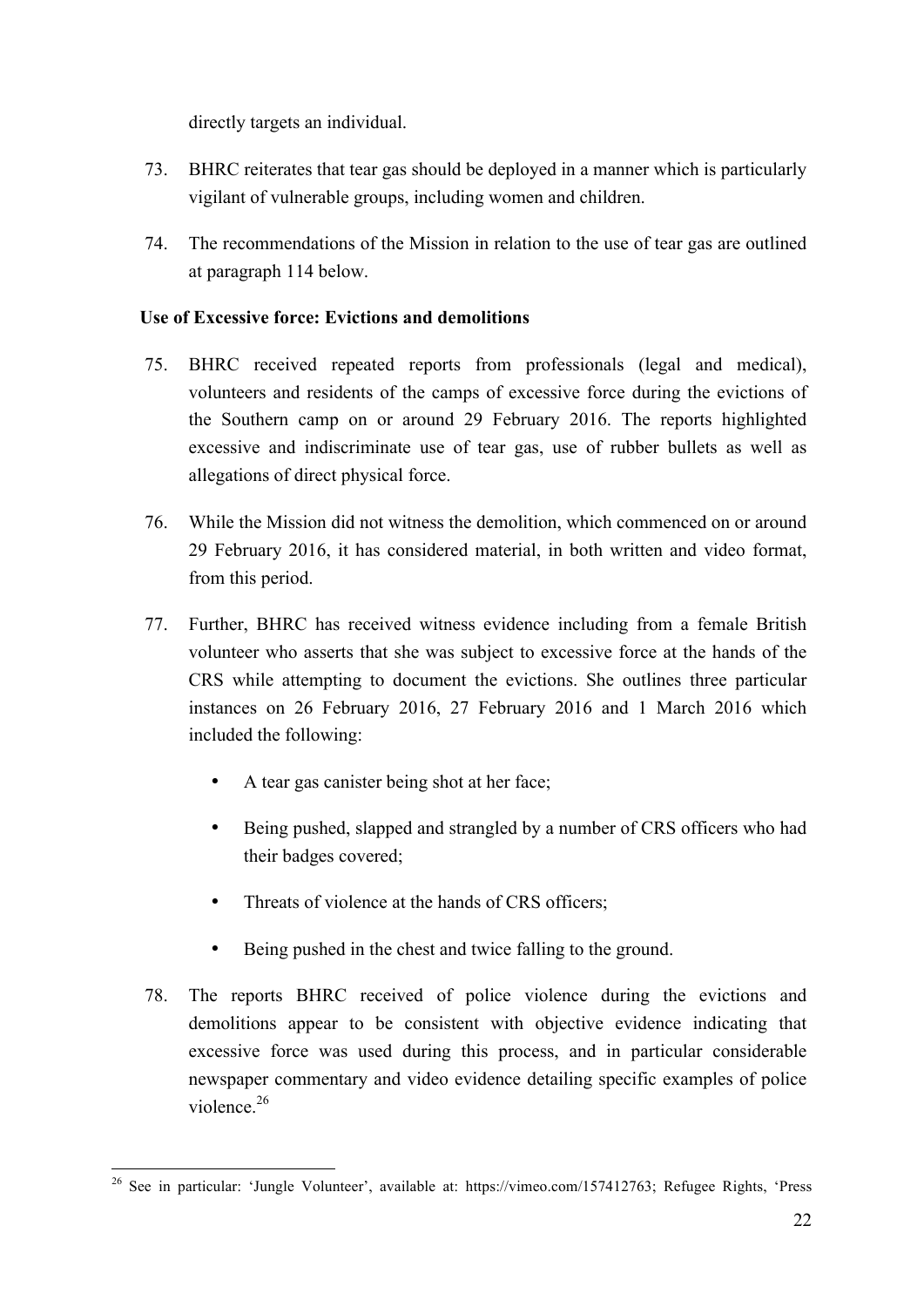directly targets an individual.

- 73. BHRC reiterates that tear gas should be deployed in a manner which is particularly vigilant of vulnerable groups, including women and children.
- 74. The recommendations of the Mission in relation to the use of tear gas are outlined at paragraph 114 below.

## **Use of Excessive force: Evictions and demolitions**

- 75. BHRC received repeated reports from professionals (legal and medical), volunteers and residents of the camps of excessive force during the evictions of the Southern camp on or around 29 February 2016. The reports highlighted excessive and indiscriminate use of tear gas, use of rubber bullets as well as allegations of direct physical force.
- 76. While the Mission did not witness the demolition, which commenced on or around 29 February 2016, it has considered material, in both written and video format, from this period.
- 77. Further, BHRC has received witness evidence including from a female British volunteer who asserts that she was subject to excessive force at the hands of the CRS while attempting to document the evictions. She outlines three particular instances on 26 February 2016, 27 February 2016 and 1 March 2016 which included the following:
	- A tear gas canister being shot at her face;
	- Being pushed, slapped and strangled by a number of CRS officers who had their badges covered;
	- Threats of violence at the hands of CRS officers;
	- Being pushed in the chest and twice falling to the ground.
- 78. The reports BHRC received of police violence during the evictions and demolitions appear to be consistent with objective evidence indicating that excessive force was used during this process, and in particular considerable newspaper commentary and video evidence detailing specific examples of police violence.<sup>26</sup>

<sup>&</sup>lt;sup>26</sup> See in particular: 'Jungle Volunteer', available at: https://vimeo.com/157412763; Refugee Rights, 'Press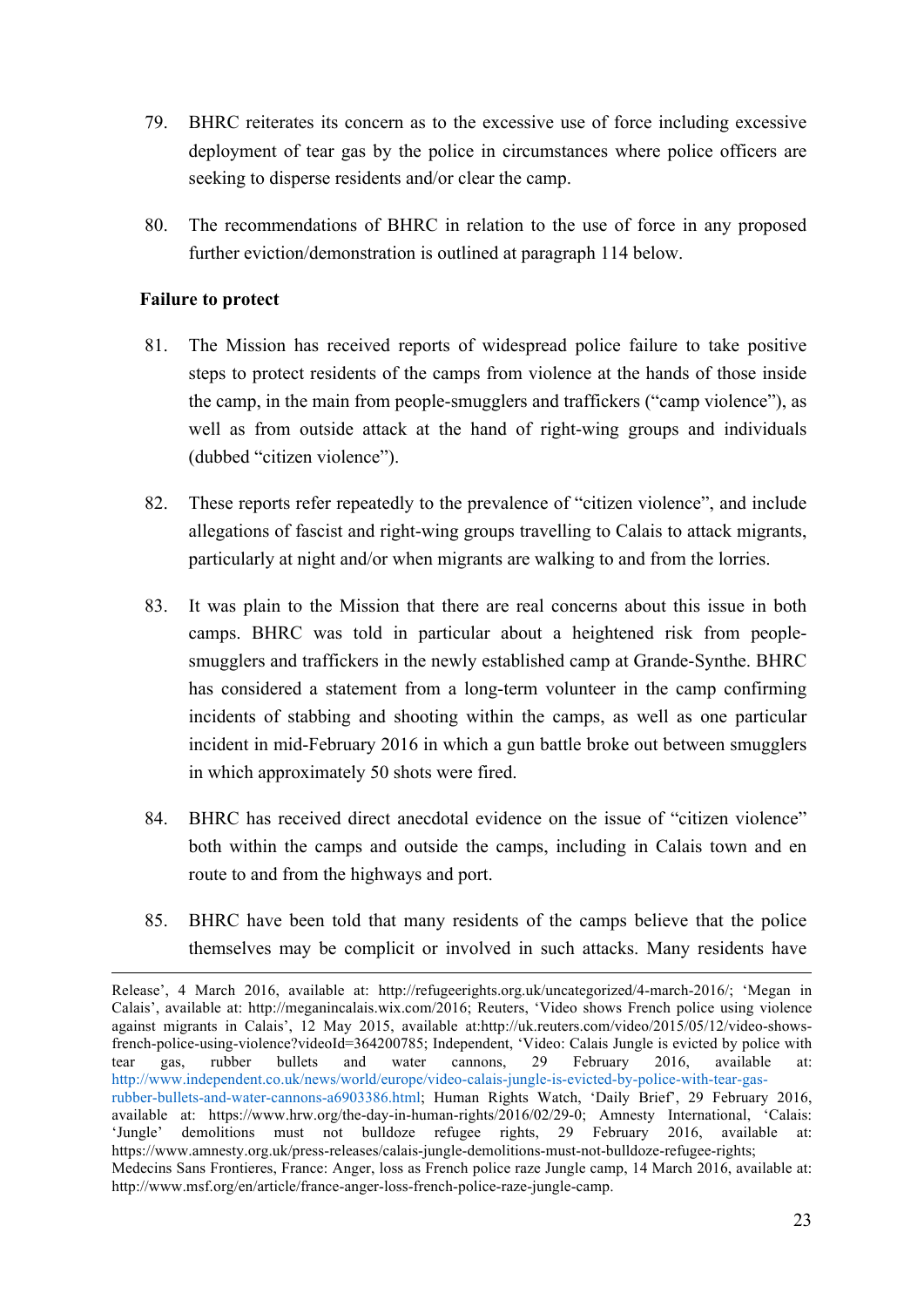- 79. BHRC reiterates its concern as to the excessive use of force including excessive deployment of tear gas by the police in circumstances where police officers are seeking to disperse residents and/or clear the camp.
- 80. The recommendations of BHRC in relation to the use of force in any proposed further eviction/demonstration is outlined at paragraph 114 below.

#### **Failure to protect**

- 81. The Mission has received reports of widespread police failure to take positive steps to protect residents of the camps from violence at the hands of those inside the camp, in the main from people-smugglers and traffickers ("camp violence"), as well as from outside attack at the hand of right-wing groups and individuals (dubbed "citizen violence").
- 82. These reports refer repeatedly to the prevalence of "citizen violence", and include allegations of fascist and right-wing groups travelling to Calais to attack migrants, particularly at night and/or when migrants are walking to and from the lorries.
- 83. It was plain to the Mission that there are real concerns about this issue in both camps. BHRC was told in particular about a heightened risk from peoplesmugglers and traffickers in the newly established camp at Grande-Synthe. BHRC has considered a statement from a long-term volunteer in the camp confirming incidents of stabbing and shooting within the camps, as well as one particular incident in mid-February 2016 in which a gun battle broke out between smugglers in which approximately 50 shots were fired.
- 84. BHRC has received direct anecdotal evidence on the issue of "citizen violence" both within the camps and outside the camps, including in Calais town and en route to and from the highways and port.
- 85. BHRC have been told that many residents of the camps believe that the police themselves may be complicit or involved in such attacks. Many residents have

Release', 4 March 2016, available at: http://refugeerights.org.uk/uncategorized/4-march-2016/; 'Megan in Calais', available at: http://meganincalais.wix.com/2016; Reuters, 'Video shows French police using violence against migrants in Calais', 12 May 2015, available at:http://uk.reuters.com/video/2015/05/12/video-showsfrench-police-using-violence?videoId=364200785; Independent, 'Video: Calais Jungle is evicted by police with tear gas, rubber bullets and water cannons, 29 February 2016, available at: http://www.independent.co.uk/news/world/europe/video-calais-jungle-is-evicted-by-police-with-tear-gasrubber-bullets-and-water-cannons-a6903386.html; Human Rights Watch, 'Daily Brief', 29 February 2016, available at: https://www.hrw.org/the-day-in-human-rights/2016/02/29-0; Amnesty International, 'Calais: 'Jungle' demolitions must not bulldoze refugee rights, 29 February 2016, available at: https://www.amnesty.org.uk/press-releases/calais-jungle-demolitions-must-not-bulldoze-refugee-rights; Medecins Sans Frontieres, France: Anger, loss as French police raze Jungle camp, 14 March 2016, available at: http://www.msf.org/en/article/france-anger-loss-french-police-raze-jungle-camp.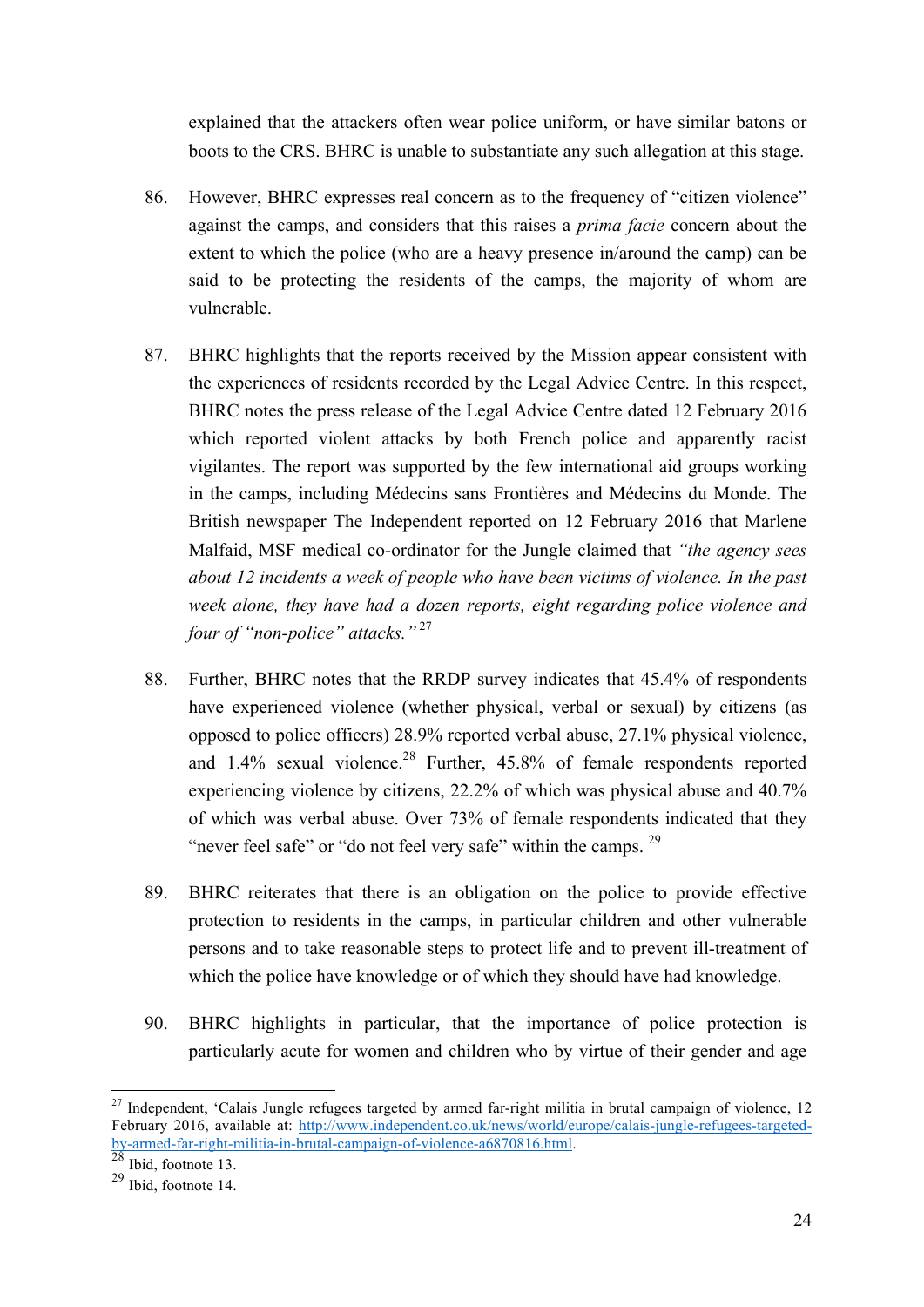explained that the attackers often wear police uniform, or have similar batons or boots to the CRS. BHRC is unable to substantiate any such allegation at this stage.

- 86. However, BHRC expresses real concern as to the frequency of "citizen violence" against the camps, and considers that this raises a *prima facie* concern about the extent to which the police (who are a heavy presence in/around the camp) can be said to be protecting the residents of the camps, the majority of whom are vulnerable.
- 87. BHRC highlights that the reports received by the Mission appear consistent with the experiences of residents recorded by the Legal Advice Centre. In this respect, BHRC notes the press release of the Legal Advice Centre dated 12 February 2016 which reported violent attacks by both French police and apparently racist vigilantes. The report was supported by the few international aid groups working in the camps, including Médecins sans Frontières and Médecins du Monde. The British newspaper The Independent reported on 12 February 2016 that Marlene Malfaid, MSF medical co-ordinator for the Jungle claimed that *"the agency sees about 12 incidents a week of people who have been victims of violence. In the past week alone, they have had a dozen reports, eight regarding police violence and four of "non-police" attacks."* <sup>27</sup>
- 88. Further, BHRC notes that the RRDP survey indicates that 45.4% of respondents have experienced violence (whether physical, verbal or sexual) by citizens (as opposed to police officers) 28.9% reported verbal abuse, 27.1% physical violence, and  $1.4\%$  sexual violence.<sup>28</sup> Further,  $45.8\%$  of female respondents reported experiencing violence by citizens, 22.2% of which was physical abuse and 40.7% of which was verbal abuse. Over 73% of female respondents indicated that they "never feel safe" or "do not feel very safe" within the camps. <sup>29</sup>
- 89. BHRC reiterates that there is an obligation on the police to provide effective protection to residents in the camps, in particular children and other vulnerable persons and to take reasonable steps to protect life and to prevent ill-treatment of which the police have knowledge or of which they should have had knowledge.
- 90. BHRC highlights in particular, that the importance of police protection is particularly acute for women and children who by virtue of their gender and age

 $27$  Independent, 'Calais Jungle refugees targeted by armed far-right militia in brutal campaign of violence, 12 February 2016, available at: http://www.independent.co.uk/news/world/europe/calais-jungle-refugees-targetedby-armed-far-right-militia-in-brutal-campaign-of-violence-a6870816.html. 28 Ibid, footnote 13.

<sup>29</sup> Ibid, footnote 14.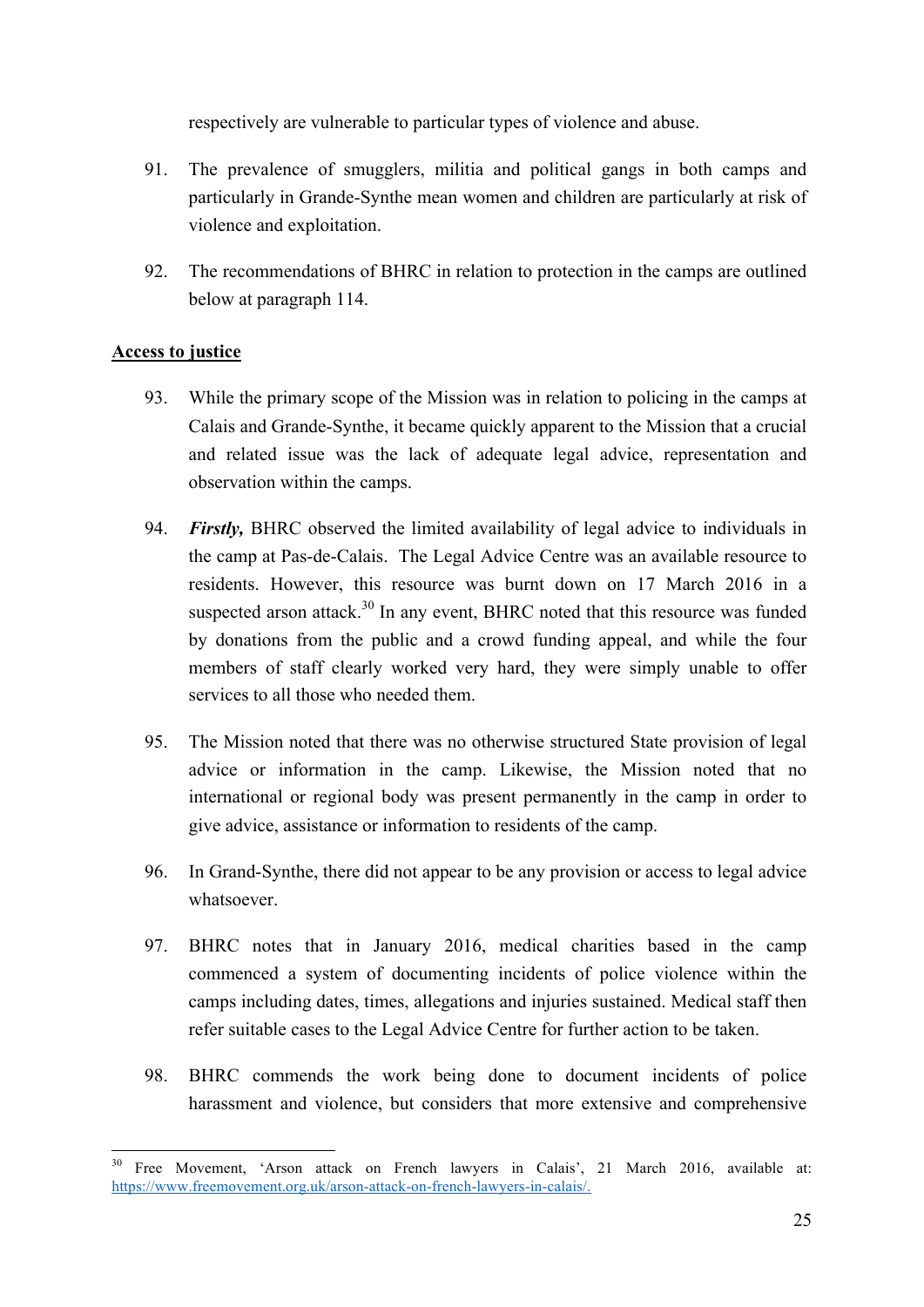respectively are vulnerable to particular types of violence and abuse.

- 91. The prevalence of smugglers, militia and political gangs in both camps and particularly in Grande-Synthe mean women and children are particularly at risk of violence and exploitation.
- 92. The recommendations of BHRC in relation to protection in the camps are outlined below at paragraph 114.

## **Access to justice**

- 93. While the primary scope of the Mission was in relation to policing in the camps at Calais and Grande-Synthe, it became quickly apparent to the Mission that a crucial and related issue was the lack of adequate legal advice, representation and observation within the camps.
- 94. *Firstly,* BHRC observed the limited availability of legal advice to individuals in the camp at Pas-de-Calais. The Legal Advice Centre was an available resource to residents. However, this resource was burnt down on 17 March 2016 in a suspected arson attack.<sup>30</sup> In any event, BHRC noted that this resource was funded by donations from the public and a crowd funding appeal, and while the four members of staff clearly worked very hard, they were simply unable to offer services to all those who needed them.
- 95. The Mission noted that there was no otherwise structured State provision of legal advice or information in the camp. Likewise, the Mission noted that no international or regional body was present permanently in the camp in order to give advice, assistance or information to residents of the camp.
- 96. In Grand-Synthe, there did not appear to be any provision or access to legal advice whatsoever.
- 97. BHRC notes that in January 2016, medical charities based in the camp commenced a system of documenting incidents of police violence within the camps including dates, times, allegations and injuries sustained. Medical staff then refer suitable cases to the Legal Advice Centre for further action to be taken.
- 98. BHRC commends the work being done to document incidents of police harassment and violence, but considers that more extensive and comprehensive

<sup>&</sup>lt;sup>30</sup> Free Movement, 'Arson attack on French lawyers in Calais', 21 March 2016, available at: https://www.freemovement.org.uk/arson-attack-on-french-lawyers-in-calais/.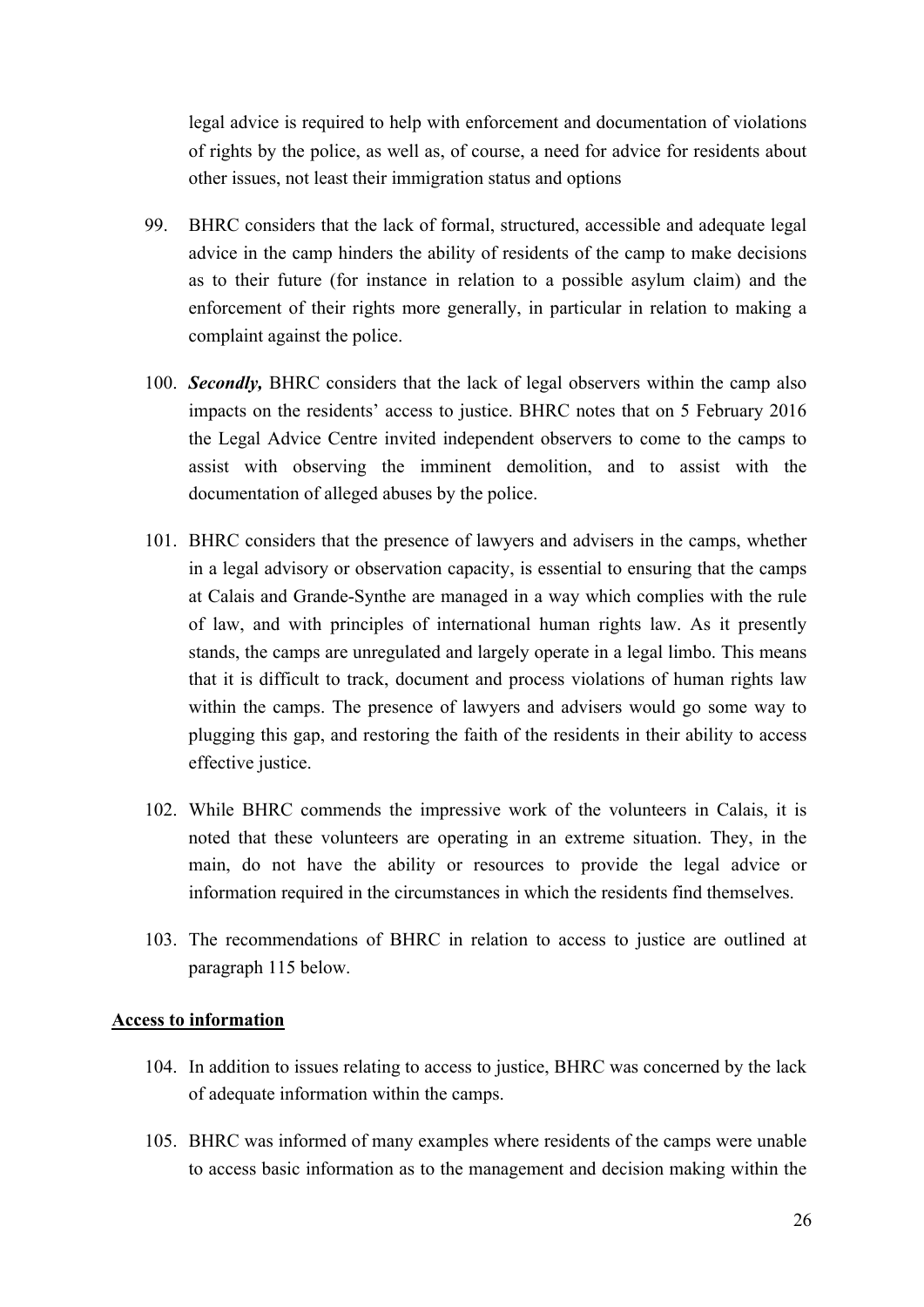legal advice is required to help with enforcement and documentation of violations of rights by the police, as well as, of course, a need for advice for residents about other issues, not least their immigration status and options

- 99. BHRC considers that the lack of formal, structured, accessible and adequate legal advice in the camp hinders the ability of residents of the camp to make decisions as to their future (for instance in relation to a possible asylum claim) and the enforcement of their rights more generally, in particular in relation to making a complaint against the police.
- 100. *Secondly,* BHRC considers that the lack of legal observers within the camp also impacts on the residents' access to justice. BHRC notes that on 5 February 2016 the Legal Advice Centre invited independent observers to come to the camps to assist with observing the imminent demolition, and to assist with the documentation of alleged abuses by the police.
- 101. BHRC considers that the presence of lawyers and advisers in the camps, whether in a legal advisory or observation capacity, is essential to ensuring that the camps at Calais and Grande-Synthe are managed in a way which complies with the rule of law, and with principles of international human rights law. As it presently stands, the camps are unregulated and largely operate in a legal limbo. This means that it is difficult to track, document and process violations of human rights law within the camps. The presence of lawyers and advisers would go some way to plugging this gap, and restoring the faith of the residents in their ability to access effective justice.
- 102. While BHRC commends the impressive work of the volunteers in Calais, it is noted that these volunteers are operating in an extreme situation. They, in the main, do not have the ability or resources to provide the legal advice or information required in the circumstances in which the residents find themselves.
- 103. The recommendations of BHRC in relation to access to justice are outlined at paragraph 115 below.

#### **Access to information**

- 104. In addition to issues relating to access to justice, BHRC was concerned by the lack of adequate information within the camps.
- 105. BHRC was informed of many examples where residents of the camps were unable to access basic information as to the management and decision making within the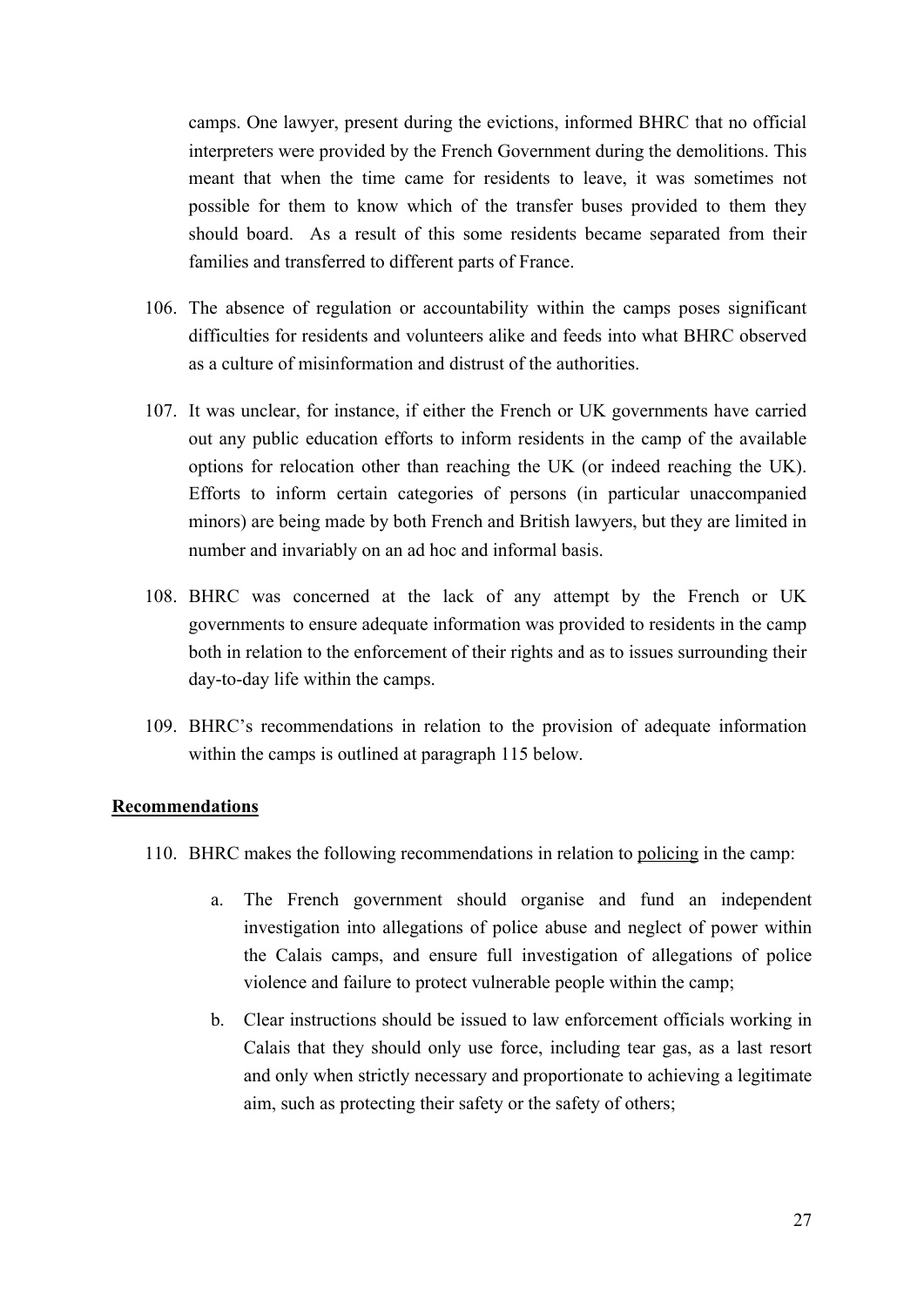camps. One lawyer, present during the evictions, informed BHRC that no official interpreters were provided by the French Government during the demolitions. This meant that when the time came for residents to leave, it was sometimes not possible for them to know which of the transfer buses provided to them they should board. As a result of this some residents became separated from their families and transferred to different parts of France.

- 106. The absence of regulation or accountability within the camps poses significant difficulties for residents and volunteers alike and feeds into what BHRC observed as a culture of misinformation and distrust of the authorities.
- 107. It was unclear, for instance, if either the French or UK governments have carried out any public education efforts to inform residents in the camp of the available options for relocation other than reaching the UK (or indeed reaching the UK). Efforts to inform certain categories of persons (in particular unaccompanied minors) are being made by both French and British lawyers, but they are limited in number and invariably on an ad hoc and informal basis.
- 108. BHRC was concerned at the lack of any attempt by the French or UK governments to ensure adequate information was provided to residents in the camp both in relation to the enforcement of their rights and as to issues surrounding their day-to-day life within the camps.
- 109. BHRC's recommendations in relation to the provision of adequate information within the camps is outlined at paragraph 115 below.

#### **Recommendations**

- 110. BHRC makes the following recommendations in relation to policing in the camp:
	- a. The French government should organise and fund an independent investigation into allegations of police abuse and neglect of power within the Calais camps, and ensure full investigation of allegations of police violence and failure to protect vulnerable people within the camp;
	- b. Clear instructions should be issued to law enforcement officials working in Calais that they should only use force, including tear gas, as a last resort and only when strictly necessary and proportionate to achieving a legitimate aim, such as protecting their safety or the safety of others;